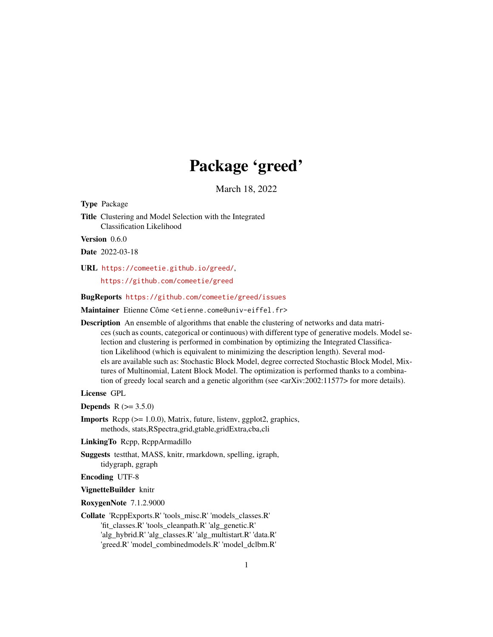# Package 'greed'

March 18, 2022

<span id="page-0-0"></span>Type Package

Title Clustering and Model Selection with the Integrated Classification Likelihood

Version 0.6.0

Date 2022-03-18

URL <https://comeetie.github.io/greed/>,

<https://github.com/comeetie/greed>

BugReports <https://github.com/comeetie/greed/issues>

Maintainer Etienne Côme <etienne.come@univ-eiffel.fr>

Description An ensemble of algorithms that enable the clustering of networks and data matrices (such as counts, categorical or continuous) with different type of generative models. Model selection and clustering is performed in combination by optimizing the Integrated Classification Likelihood (which is equivalent to minimizing the description length). Several models are available such as: Stochastic Block Model, degree corrected Stochastic Block Model, Mixtures of Multinomial, Latent Block Model. The optimization is performed thanks to a combination of greedy local search and a genetic algorithm (see  $\langle \text{arXiv:} 2002:11577 \rangle$  for more details).

License GPL

**Depends** R  $(>= 3.5.0)$ 

Imports Rcpp (>= 1.0.0), Matrix, future, listenv, ggplot2, graphics, methods, stats,RSpectra,grid,gtable,gridExtra,cba,cli

LinkingTo Rcpp, RcppArmadillo

Suggests testthat, MASS, knitr, rmarkdown, spelling, igraph, tidygraph, ggraph

Encoding UTF-8

VignetteBuilder knitr

RoxygenNote 7.1.2.9000

Collate 'RcppExports.R' 'tools\_misc.R' 'models\_classes.R' 'fit\_classes.R' 'tools\_cleanpath.R' 'alg\_genetic.R' 'alg\_hybrid.R' 'alg\_classes.R' 'alg\_multistart.R' 'data.R' 'greed.R' 'model\_combinedmodels.R' 'model\_dclbm.R'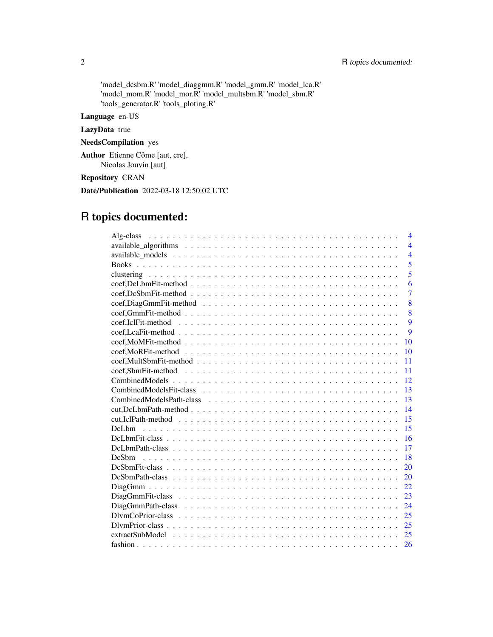## 2 R topics documented:

'model\_dcsbm.R' 'model\_diaggmm.R' 'model\_gmm.R' 'model\_lca.R' 'model\_mom.R' 'model\_mor.R' 'model\_multsbm.R' 'model\_sbm.R' 'tools\_generator.R' 'tools\_ploting.R'

Language en-US

LazyData true

NeedsCompilation yes

Author Etienne Côme [aut, cre], Nicolas Jouvin [aut]

Repository CRAN

Date/Publication 2022-03-18 12:50:02 UTC

# R topics documented:

| $\overline{4}$                                                                                                                |
|-------------------------------------------------------------------------------------------------------------------------------|
| $\overline{4}$                                                                                                                |
| $\overline{4}$                                                                                                                |
| 5                                                                                                                             |
| 5                                                                                                                             |
| 6                                                                                                                             |
| $\overline{7}$                                                                                                                |
| 8                                                                                                                             |
| 8                                                                                                                             |
| 9                                                                                                                             |
| $\mathbf Q$                                                                                                                   |
| 10                                                                                                                            |
| 10                                                                                                                            |
| 11                                                                                                                            |
| 11                                                                                                                            |
| 12                                                                                                                            |
| 13                                                                                                                            |
| 13                                                                                                                            |
| 14                                                                                                                            |
| 15                                                                                                                            |
| 15                                                                                                                            |
| 16                                                                                                                            |
| 17                                                                                                                            |
| 18                                                                                                                            |
| 20                                                                                                                            |
| 20                                                                                                                            |
| 22                                                                                                                            |
| 23                                                                                                                            |
| 24                                                                                                                            |
| 25                                                                                                                            |
| $Dlymprior-class \dots \dots \dots \dots \dots \dots \dots \dots \dots \dots \dots \dots \dots \dots \dots \dots \dots$<br>25 |
|                                                                                                                               |
| 26                                                                                                                            |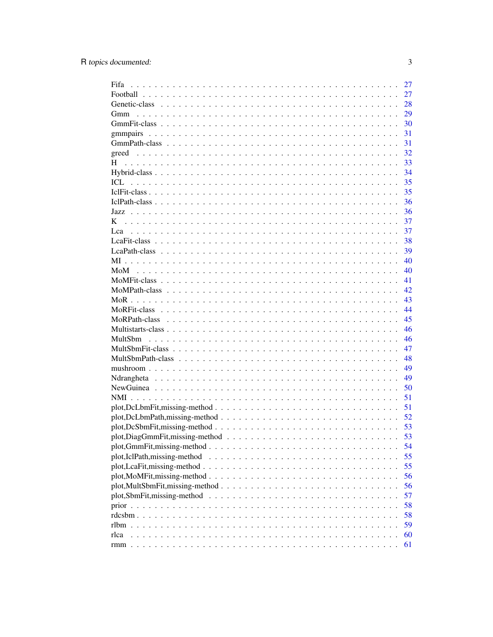| Fifa                          | 27 |
|-------------------------------|----|
|                               | 27 |
|                               | 28 |
| Gmm                           | 29 |
|                               | 30 |
|                               | 31 |
|                               | 31 |
| greed                         | 32 |
| H                             | 33 |
|                               | 34 |
| ICL                           | 35 |
|                               | 35 |
|                               | 36 |
| Jazz.                         | 36 |
| K                             | 37 |
|                               | 37 |
|                               | 38 |
|                               | 39 |
|                               | 40 |
|                               | 40 |
|                               | 41 |
|                               |    |
|                               | 42 |
|                               | 43 |
|                               | 44 |
|                               | 45 |
|                               | 46 |
|                               | 46 |
|                               | 47 |
|                               | 48 |
|                               | 49 |
|                               | 49 |
|                               | 50 |
|                               | 51 |
|                               | 51 |
|                               | 52 |
|                               | 53 |
|                               | 53 |
|                               | 54 |
| plot, IclPath, missing-method | 55 |
|                               | 55 |
|                               | 56 |
|                               | 56 |
|                               | 57 |
|                               | 58 |
|                               | 58 |
|                               | 59 |
| rlca                          | 60 |
|                               | 61 |
|                               |    |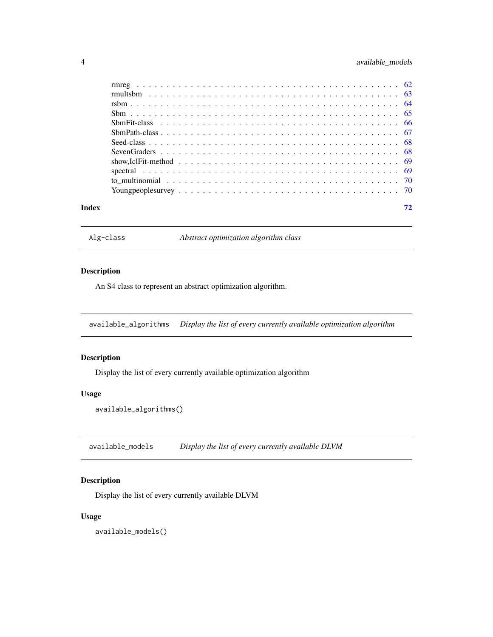## <span id="page-3-0"></span>4 available\_models

| Index |  |
|-------|--|

<span id="page-3-1"></span>Alg-class *Abstract optimization algorithm class*

## Description

An S4 class to represent an abstract optimization algorithm.

available\_algorithms *Display the list of every currently available optimization algorithm*

## Description

Display the list of every currently available optimization algorithm

## Usage

```
available_algorithms()
```
available\_models *Display the list of every currently available DLVM*

## Description

Display the list of every currently available DLVM

## Usage

available\_models()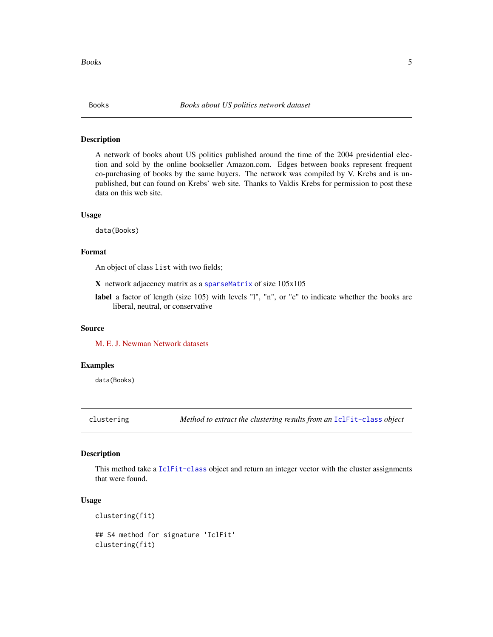<span id="page-4-0"></span>A network of books about US politics published around the time of the 2004 presidential election and sold by the online bookseller Amazon.com. Edges between books represent frequent co-purchasing of books by the same buyers. The network was compiled by V. Krebs and is unpublished, but can found on Krebs' web site. Thanks to Valdis Krebs for permission to post these data on this web site.

#### Usage

data(Books)

## Format

An object of class list with two fields;

X network adjacency matrix as a [sparseMatrix](#page-0-0) of size 105x105

label a factor of length (size 105) with levels "l", "n", or "c" to indicate whether the books are liberal, neutral, or conservative

#### Source

[M. E. J. Newman Network datasets](http://www-personal.umich.edu/~mejn/netdata/)

## Examples

data(Books)

clustering *Method to extract the clustering results from an* [IclFit-class](#page-34-1) *object*

## Description

This method take a [IclFit-class](#page-34-1) object and return an integer vector with the cluster assignments that were found.

#### Usage

```
clustering(fit)
```
## S4 method for signature 'IclFit' clustering(fit)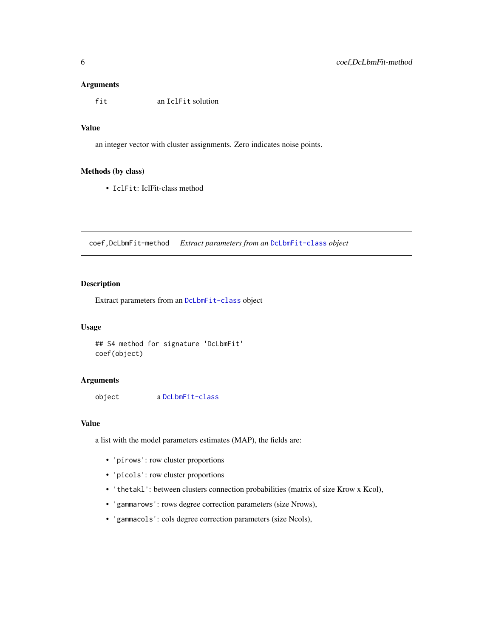## <span id="page-5-0"></span>Arguments

fit an IclFit solution

## Value

an integer vector with cluster assignments. Zero indicates noise points.

## Methods (by class)

• IclFit: IclFit-class method

coef,DcLbmFit-method *Extract parameters from an* [DcLbmFit-class](#page-15-1) *object*

## Description

Extract parameters from an [DcLbmFit-class](#page-15-1) object

## Usage

```
## S4 method for signature 'DcLbmFit'
coef(object)
```
## Arguments

object a [DcLbmFit-class](#page-15-1)

### Value

a list with the model parameters estimates (MAP), the fields are:

- 'pirows': row cluster proportions
- 'picols': row cluster proportions
- 'thetakl': between clusters connection probabilities (matrix of size Krow x Kcol),
- 'gammarows': rows degree correction parameters (size Nrows),
- 'gammacols': cols degree correction parameters (size Ncols),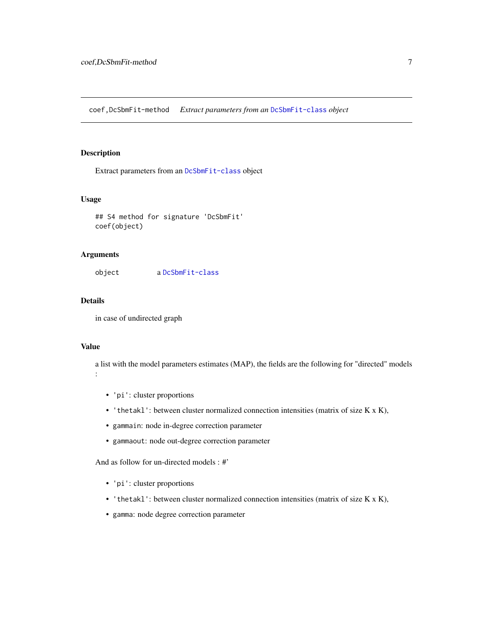<span id="page-6-0"></span>coef,DcSbmFit-method *Extract parameters from an* [DcSbmFit-class](#page-19-1) *object*

## Description

Extract parameters from an [DcSbmFit-class](#page-19-1) object

## Usage

```
## S4 method for signature 'DcSbmFit'
coef(object)
```
#### Arguments

object a [DcSbmFit-class](#page-19-1)

## Details

in case of undirected graph

## Value

a list with the model parameters estimates (MAP), the fields are the following for "directed" models :

- 'pi': cluster proportions
- 'thetakl': between cluster normalized connection intensities (matrix of size K x K),
- gammain: node in-degree correction parameter
- gammaout: node out-degree correction parameter

And as follow for un-directed models : #'

- 'pi': cluster proportions
- 'thetakl': between cluster normalized connection intensities (matrix of size K x K),
- gamma: node degree correction parameter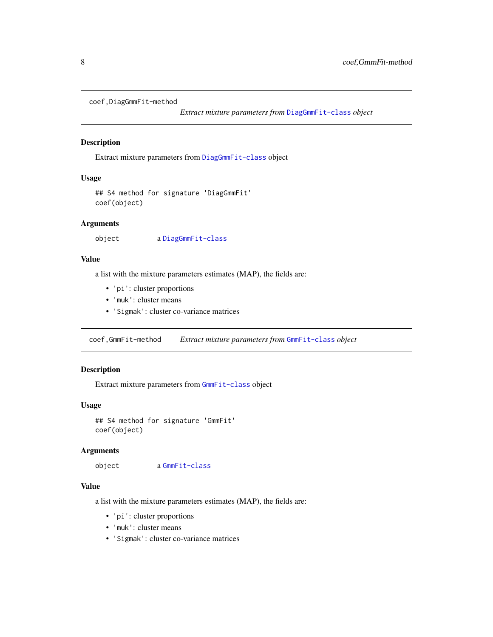```
coef,DiagGmmFit-method
```
*Extract mixture parameters from* [DiagGmmFit-class](#page-22-1) *object*

## Description

Extract mixture parameters from [DiagGmmFit-class](#page-22-1) object

## Usage

```
## S4 method for signature 'DiagGmmFit'
coef(object)
```
## Arguments

object a [DiagGmmFit-class](#page-22-1)

#### Value

a list with the mixture parameters estimates (MAP), the fields are:

- 'pi': cluster proportions
- 'muk': cluster means
- 'Sigmak': cluster co-variance matrices

coef,GmmFit-method *Extract mixture parameters from* [GmmFit-class](#page-29-1) *object*

## Description

Extract mixture parameters from [GmmFit-class](#page-29-1) object

#### Usage

```
## S4 method for signature 'GmmFit'
coef(object)
```
## Arguments

object a [GmmFit-class](#page-29-1)

## Value

a list with the mixture parameters estimates (MAP), the fields are:

- 'pi': cluster proportions
- 'muk': cluster means
- 'Sigmak': cluster co-variance matrices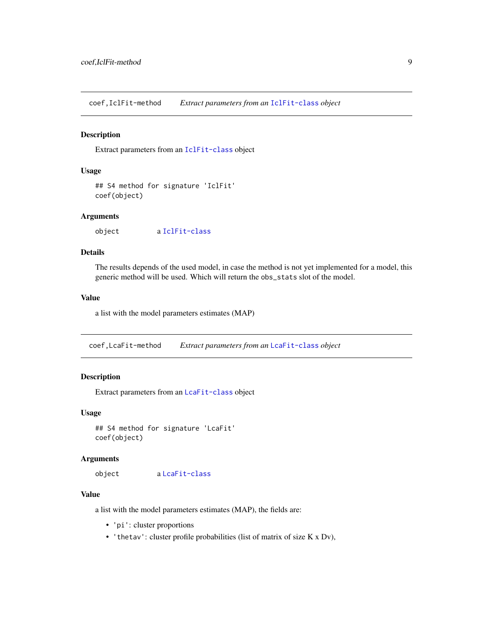<span id="page-8-0"></span>coef,IclFit-method *Extract parameters from an* [IclFit-class](#page-34-1) *object*

#### Description

Extract parameters from an [IclFit-class](#page-34-1) object

## Usage

```
## S4 method for signature 'IclFit'
coef(object)
```
## Arguments

object a [IclFit-class](#page-34-1)

## Details

The results depends of the used model, in case the method is not yet implemented for a model, this generic method will be used. Which will return the obs\_stats slot of the model.

#### Value

a list with the model parameters estimates (MAP)

coef,LcaFit-method *Extract parameters from an* [LcaFit-class](#page-37-1) *object*

## Description

Extract parameters from an [LcaFit-class](#page-37-1) object

## Usage

## S4 method for signature 'LcaFit' coef(object)

#### Arguments

object a [LcaFit-class](#page-37-1)

## Value

a list with the model parameters estimates (MAP), the fields are:

- 'pi': cluster proportions
- 'thetav': cluster profile probabilities (list of matrix of size  $K \times Dv$ ),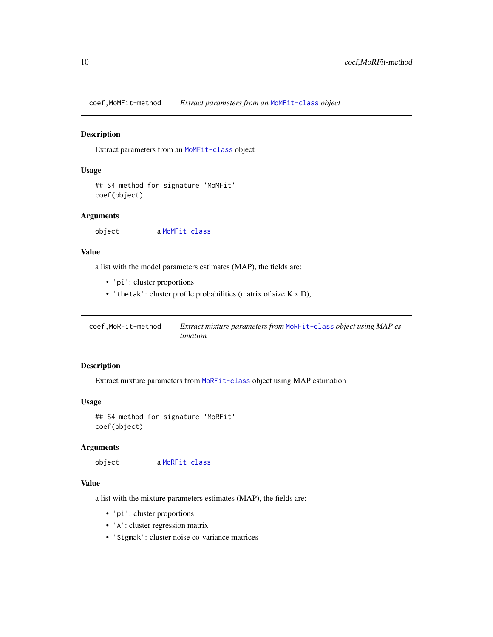<span id="page-9-0"></span>coef,MoMFit-method *Extract parameters from an* [MoMFit-class](#page-40-1) *object*

## Description

Extract parameters from an [MoMFit-class](#page-40-1) object

## Usage

```
## S4 method for signature 'MoMFit'
coef(object)
```
## Arguments

object a [MoMFit-class](#page-40-1)

## Value

a list with the model parameters estimates (MAP), the fields are:

- 'pi': cluster proportions
- 'thetak': cluster profile probabilities (matrix of size K x D),

| coef,MoRFit-method | Extract mixture parameters from MoRFit-class object using MAP es- |
|--------------------|-------------------------------------------------------------------|
|                    | <i>timation</i>                                                   |

## Description

Extract mixture parameters from [MoRFit-class](#page-43-1) object using MAP estimation

#### Usage

```
## S4 method for signature 'MoRFit'
coef(object)
```
## Arguments

object a [MoRFit-class](#page-43-1)

## Value

a list with the mixture parameters estimates (MAP), the fields are:

- 'pi': cluster proportions
- 'A': cluster regression matrix
- 'Sigmak': cluster noise co-variance matrices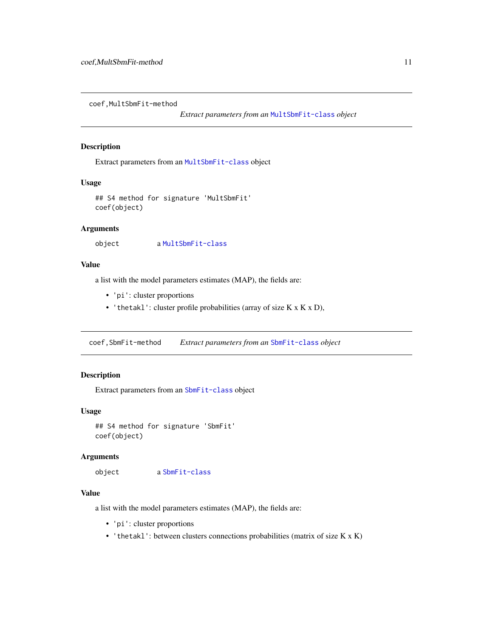<span id="page-10-0"></span>coef,MultSbmFit-method

*Extract parameters from an* [MultSbmFit-class](#page-46-1) *object*

## Description

Extract parameters from an [MultSbmFit-class](#page-46-1) object

## Usage

```
## S4 method for signature 'MultSbmFit'
coef(object)
```
### **Arguments**

```
object a MultSbmFit-class
```
## Value

a list with the model parameters estimates (MAP), the fields are:

- 'pi': cluster proportions
- 'thetakl': cluster profile probabilities (array of size  $K \times K \times D$ ),

coef,SbmFit-method *Extract parameters from an* [SbmFit-class](#page-65-1) *object*

## Description

Extract parameters from an [SbmFit-class](#page-65-1) object

## Usage

```
## S4 method for signature 'SbmFit'
coef(object)
```
## Arguments

object a [SbmFit-class](#page-65-1)

## Value

a list with the model parameters estimates (MAP), the fields are:

- 'pi': cluster proportions
- 'thetakl': between clusters connections probabilities (matrix of size K x K)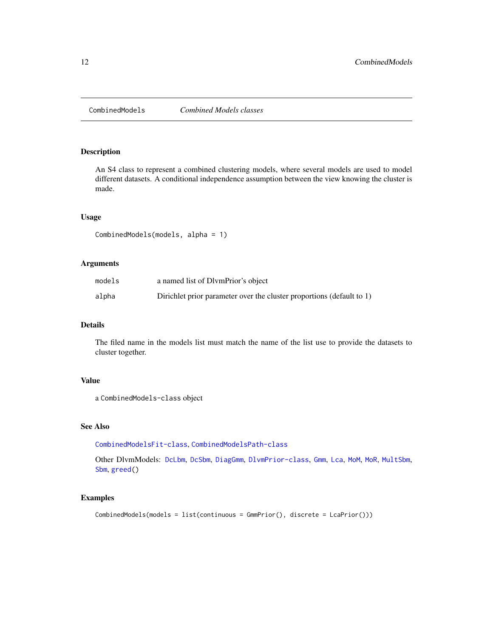<span id="page-11-2"></span><span id="page-11-1"></span><span id="page-11-0"></span>

An S4 class to represent a combined clustering models, where several models are used to model different datasets. A conditional independence assumption between the view knowing the cluster is made.

## Usage

```
CombinedModels(models, alpha = 1)
```
## Arguments

| models | a named list of DlymPrior's object                                    |
|--------|-----------------------------------------------------------------------|
| alpha  | Dirichlet prior parameter over the cluster proportions (default to 1) |

## Details

The filed name in the models list must match the name of the list use to provide the datasets to cluster together.

## Value

a CombinedModels-class object

#### See Also

[CombinedModelsFit-class](#page-12-1), [CombinedModelsPath-class](#page-12-2)

Other DlvmModels: [DcLbm](#page-14-1), [DcSbm](#page-17-1), [DiagGmm](#page-21-1), [DlvmPrior-class](#page-24-1), [Gmm](#page-28-1), [Lca](#page-36-1), [MoM](#page-39-1), [MoR](#page-42-1), [MultSbm](#page-45-1), [Sbm](#page-64-1), [greed\(](#page-31-1))

## Examples

```
CombinedModels(models = list(continuous = GmmPrior(), discrete = LcaPrior()))
```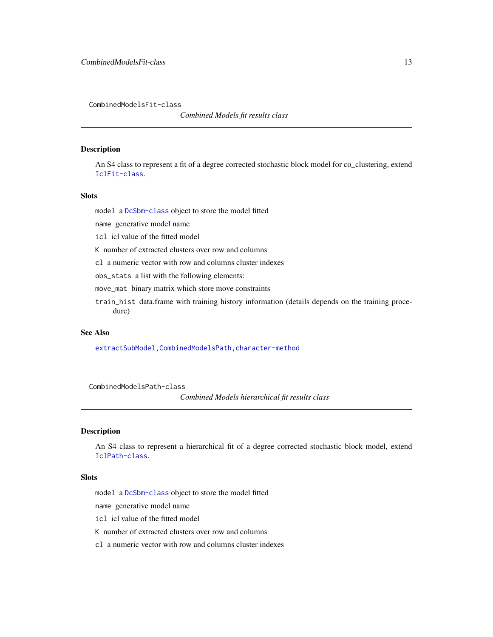<span id="page-12-1"></span><span id="page-12-0"></span>CombinedModelsFit-class

*Combined Models fit results class*

## Description

An S4 class to represent a fit of a degree corrected stochastic block model for co\_clustering, extend [IclFit-class](#page-34-1).

## **Slots**

model a [DcSbm-class](#page-17-2) object to store the model fitted

name generative model name

icl icl value of the fitted model

K number of extracted clusters over row and columns

cl a numeric vector with row and columns cluster indexes

obs\_stats a list with the following elements:

move\_mat binary matrix which store move constraints

train\_hist data.frame with training history information (details depends on the training procedure)

#### See Also

[extractSubModel,CombinedModelsPath,character-method](#page-0-0)

<span id="page-12-2"></span>CombinedModelsPath-class

*Combined Models hierarchical fit results class*

#### Description

An S4 class to represent a hierarchical fit of a degree corrected stochastic block model, extend [IclPath-class](#page-35-1).

#### Slots

model a [DcSbm-class](#page-17-2) object to store the model fitted

name generative model name

icl icl value of the fitted model

K number of extracted clusters over row and columns

cl a numeric vector with row and columns cluster indexes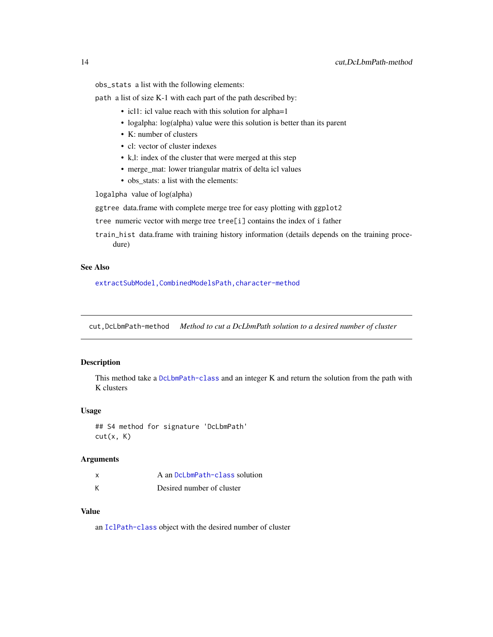<span id="page-13-0"></span>obs\_stats a list with the following elements:

path a list of size K-1 with each part of the path described by:

- icl1: icl value reach with this solution for alpha=1
- logalpha: log(alpha) value were this solution is better than its parent
- K: number of clusters
- cl: vector of cluster indexes
- k,l: index of the cluster that were merged at this step
- merge\_mat: lower triangular matrix of delta icl values
- obs\_stats: a list with the elements:

logalpha value of log(alpha)

ggtree data.frame with complete merge tree for easy plotting with ggplot2

- tree numeric vector with merge tree tree[i] contains the index of i father
- train\_hist data.frame with training history information (details depends on the training procedure)

#### See Also

[extractSubModel,CombinedModelsPath,character-method](#page-0-0)

cut,DcLbmPath-method *Method to cut a DcLbmPath solution to a desired number of cluster*

## Description

This method take a [DcLbmPath-class](#page-16-1) and an integer K and return the solution from the path with K clusters

## Usage

## S4 method for signature 'DcLbmPath'  $cut(x, K)$ 

## Arguments

| x | A an DcLbmPath-class solution |
|---|-------------------------------|
| К | Desired number of cluster     |

#### Value

an [IclPath-class](#page-35-1) object with the desired number of cluster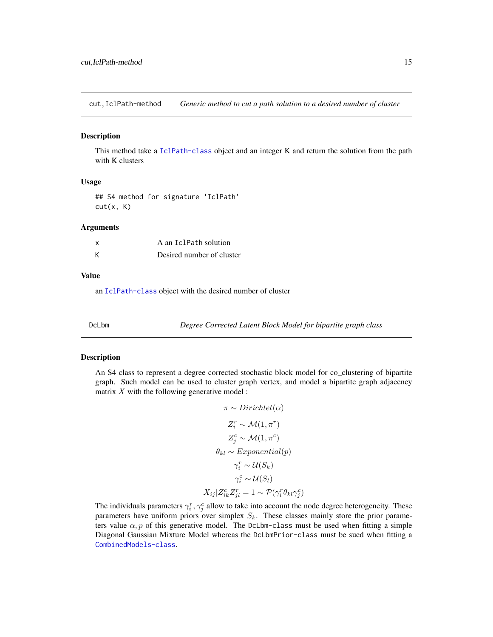<span id="page-14-0"></span>cut,IclPath-method *Generic method to cut a path solution to a desired number of cluster*

#### Description

This method take a [IclPath-class](#page-35-1) object and an integer K and return the solution from the path with K clusters

#### Usage

## S4 method for signature 'IclPath'  $cut(x, K)$ 

#### Arguments

| x | A an IclPath solution     |  |
|---|---------------------------|--|
| К | Desired number of cluster |  |

#### Value

an [IclPath-class](#page-35-1) object with the desired number of cluster

<span id="page-14-1"></span>DcLbm *Degree Corrected Latent Block Model for bipartite graph class*

## <span id="page-14-2"></span>Description

An S4 class to represent a degree corrected stochastic block model for co\_clustering of bipartite graph. Such model can be used to cluster graph vertex, and model a bipartite graph adjacency matrix  $X$  with the following generative model :

$$
\pi \sim Dirichlet(\alpha)
$$
  
\n
$$
Z_i^r \sim \mathcal{M}(1, \pi^r)
$$
  
\n
$$
Z_j^c \sim \mathcal{M}(1, \pi^c)
$$
  
\n
$$
\theta_{kl} \sim Exponential(p)
$$
  
\n
$$
\gamma_i^r \sim \mathcal{U}(S_k)
$$
  
\n
$$
\gamma_i^c \sim \mathcal{U}(S_l)
$$
  
\n
$$
X_{ij} | Z_{ik}^c Z_{jl}^r = 1 \sim \mathcal{P}(\gamma_i^r \theta_{kl} \gamma_j^c)
$$

The individuals parameters  $\gamma_i^r, \gamma_j^c$  allow to take into account the node degree heterogeneity. These parameters have uniform priors over simplex  $S_k$ . These classes mainly store the prior parameters value  $\alpha$ , p of this generative model. The DcLbm-class must be used when fitting a simple Diagonal Gaussian Mixture Model whereas the DcLbmPrior-class must be sued when fitting a [CombinedModels-class](#page-11-1).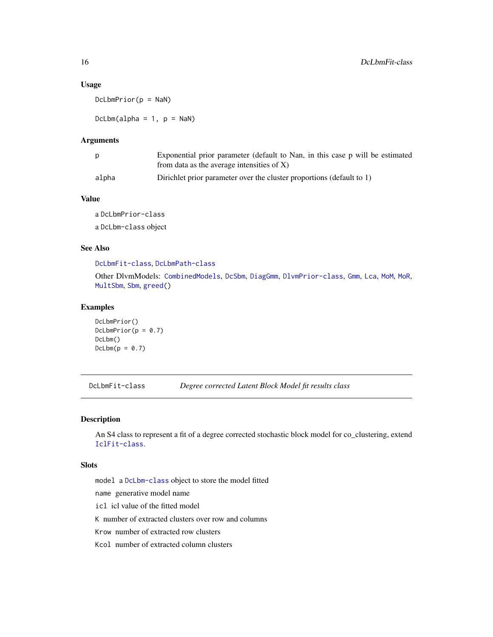## Usage

 $DcLbmPrior(p = \text{NaN})$ 

 $DcLbm(alpha = 1, p = \text{NaN})$ 

#### Arguments

| D     | Exponential prior parameter (default to Nan, in this case p will be estimated |
|-------|-------------------------------------------------------------------------------|
|       | from data as the average intensities of $X$ )                                 |
| alpha | Dirichlet prior parameter over the cluster proportions (default to 1)         |

## Value

a DcLbmPrior-class a DcLbm-class object

### See Also

[DcLbmFit-class](#page-15-1), [DcLbmPath-class](#page-16-1)

Other DlvmModels: [CombinedModels](#page-11-2), [DcSbm](#page-17-1), [DiagGmm](#page-21-1), [DlvmPrior-class](#page-24-1), [Gmm](#page-28-1), [Lca](#page-36-1), [MoM](#page-39-1), [MoR](#page-42-1), [MultSbm](#page-45-1), [Sbm](#page-64-1), [greed\(](#page-31-1))

#### Examples

```
DcLbmPrior()
Dclb mPrior(p = 0.7)DcLbm()
Dclbm(p = 0.7)
```
<span id="page-15-1"></span>DcLbmFit-class *Degree corrected Latent Block Model fit results class*

## Description

An S4 class to represent a fit of a degree corrected stochastic block model for co\_clustering, extend [IclFit-class](#page-34-1).

## Slots

model a [DcLbm-class](#page-14-2) object to store the model fitted name generative model name icl icl value of the fitted model K number of extracted clusters over row and columns Krow number of extracted row clusters Kcol number of extracted column clusters

<span id="page-15-0"></span>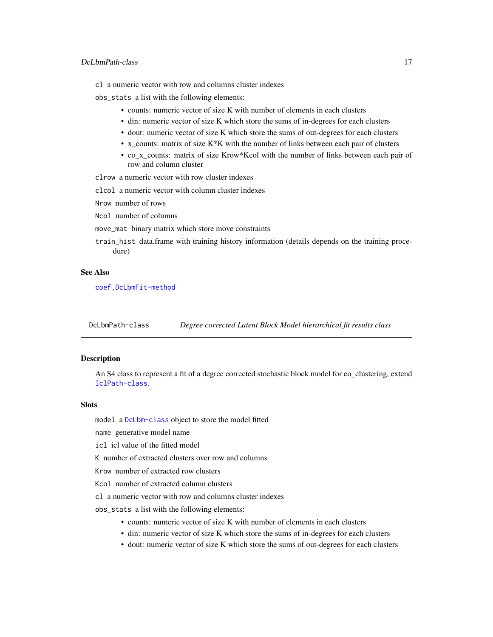## <span id="page-16-0"></span>DcLbmPath-class 17

cl a numeric vector with row and columns cluster indexes

obs\_stats a list with the following elements:

- counts: numeric vector of size K with number of elements in each clusters
- din: numeric vector of size K which store the sums of in-degrees for each clusters
- dout: numeric vector of size K which store the sums of out-degrees for each clusters
- x\_counts: matrix of size  $K*K$  with the number of links between each pair of clusters
- co\_x\_counts: matrix of size Krow\*Kcol with the number of links between each pair of row and column cluster

clrow a numeric vector with row cluster indexes

clcol a numeric vector with column cluster indexes

Nrow number of rows

Ncol number of columns

- move\_mat binary matrix which store move constraints
- train\_hist data.frame with training history information (details depends on the training procedure)

#### See Also

[coef,DcLbmFit-method](#page-0-0)

<span id="page-16-1"></span>DcLbmPath-class *Degree corrected Latent Block Model hierarchical fit results class*

## Description

An S4 class to represent a fit of a degree corrected stochastic block model for co\_clustering, extend [IclPath-class](#page-35-1).

## **Slots**

model a [DcLbm-class](#page-14-2) object to store the model fitted

name generative model name

icl icl value of the fitted model

K number of extracted clusters over row and columns

Krow number of extracted row clusters

Kcol number of extracted column clusters

cl a numeric vector with row and columns cluster indexes

obs\_stats a list with the following elements:

- counts: numeric vector of size K with number of elements in each clusters
- din: numeric vector of size K which store the sums of in-degrees for each clusters
- dout: numeric vector of size K which store the sums of out-degrees for each clusters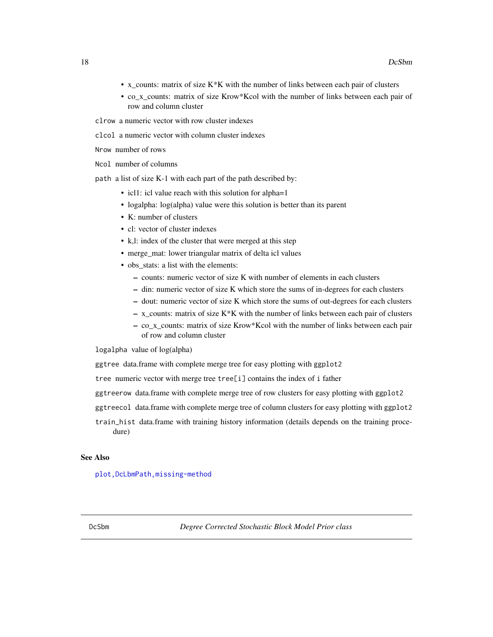- <span id="page-17-0"></span>• x\_counts: matrix of size K\*K with the number of links between each pair of clusters
- co\_x\_counts: matrix of size Krow\*Kcol with the number of links between each pair of row and column cluster

clrow a numeric vector with row cluster indexes

clcol a numeric vector with column cluster indexes

Nrow number of rows

Ncol number of columns

path a list of size K-1 with each part of the path described by:

- icl1: icl value reach with this solution for alpha=1
- logalpha: log(alpha) value were this solution is better than its parent
- K: number of clusters
- cl: vector of cluster indexes
- k,l: index of the cluster that were merged at this step
- merge mat: lower triangular matrix of delta icl values
- obs stats: a list with the elements:
	- counts: numeric vector of size K with number of elements in each clusters
	- din: numeric vector of size K which store the sums of in-degrees for each clusters
	- dout: numeric vector of size K which store the sums of out-degrees for each clusters
	- $-$  x\_counts: matrix of size K\*K with the number of links between each pair of clusters
	- co\_x\_counts: matrix of size Krow\*Kcol with the number of links between each pair of row and column cluster

logalpha value of log(alpha)

ggtree data.frame with complete merge tree for easy plotting with ggplot2

tree numeric vector with merge tree tree[i] contains the index of i father

ggtreerow data.frame with complete merge tree of row clusters for easy plotting with ggplot2

ggtreecol data.frame with complete merge tree of column clusters for easy plotting with ggplot2

train\_hist data.frame with training history information (details depends on the training procedure)

## See Also

<span id="page-17-2"></span><span id="page-17-1"></span>plot, DcLbmPath, missing-method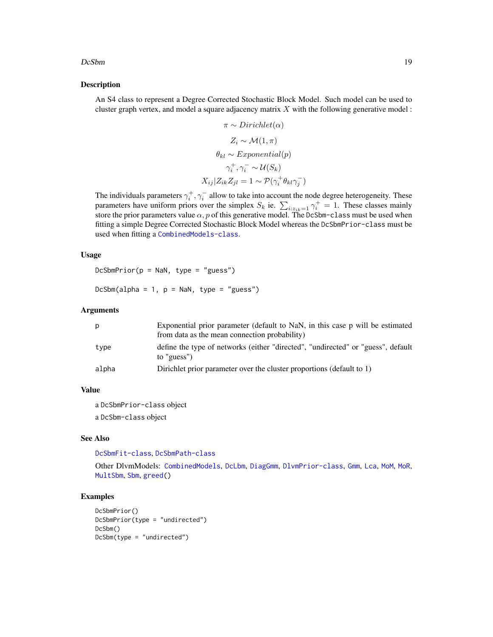#### $DcSbm$  19

#### Description

An S4 class to represent a Degree Corrected Stochastic Block Model. Such model can be used to cluster graph vertex, and model a square adjacency matrix  $X$  with the following generative model :

$$
\pi \sim Dirichlet(\alpha)
$$
  
\n
$$
Z_i \sim \mathcal{M}(1, \pi)
$$
  
\n
$$
\theta_{kl} \sim Exponential(p)
$$
  
\n
$$
\gamma_i^+, \gamma_i^- \sim \mathcal{U}(S_k)
$$
  
\n
$$
X_{ij} | Z_{ik} Z_{jl} = 1 \sim \mathcal{P}(\gamma_i^+ \theta_{kl} \gamma_j^-)
$$

The individuals parameters  $\gamma_i^+$ ,  $\gamma_i^-$  allow to take into account the node degree heterogeneity. These parameters have uniform priors over the simplex  $S_k$  ie.  $\sum_{i:z_{ik}=1} \gamma_i^+ = 1$ . These classes mainly store the prior parameters value  $\alpha$ , p of this generative model. The DcSbm-class must be used when fitting a simple Degree Corrected Stochastic Block Model whereas the DcSbmPrior-class must be used when fitting a [CombinedModels-class](#page-11-1).

## Usage

```
DcSbmPrior(p = NaN, type = "guess")
```

```
DcSbm(alpha = 1, p = NaN, type = "guess")
```
## Arguments

| D     | Exponential prior parameter (default to NaN, in this case p will be estimated<br>from data as the mean connection probability) |
|-------|--------------------------------------------------------------------------------------------------------------------------------|
| type  | define the type of networks (either "directed", "undirected" or "guess", default<br>to "guess")                                |
| alpha | Dirichlet prior parameter over the cluster proportions (default to 1)                                                          |

#### Value

a DcSbmPrior-class object

a DcSbm-class object

## See Also

[DcSbmFit-class](#page-19-1), [DcSbmPath-class](#page-19-2)

Other DlvmModels: [CombinedModels](#page-11-2), [DcLbm](#page-14-1), [DiagGmm](#page-21-1), [DlvmPrior-class](#page-24-1), [Gmm](#page-28-1), [Lca](#page-36-1), [MoM](#page-39-1), [MoR](#page-42-1), [MultSbm](#page-45-1), [Sbm](#page-64-1), [greed\(](#page-31-1))

#### Examples

```
DcSbmPrior()
DcSbmPrior(type = "undirected")
DcSbm()
DcSbm(type = "undirected")
```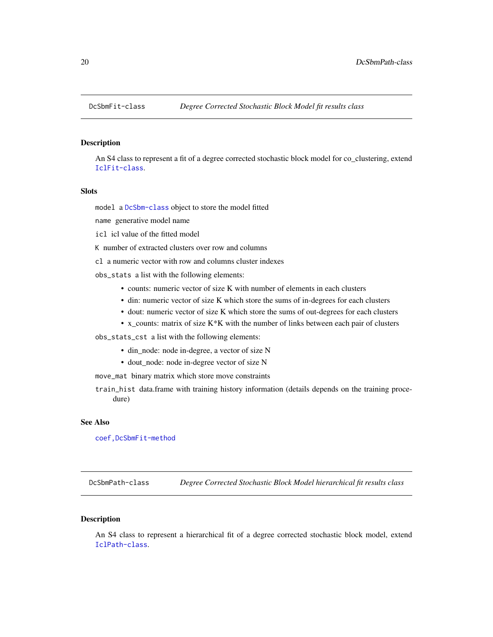<span id="page-19-1"></span><span id="page-19-0"></span>

An S4 class to represent a fit of a degree corrected stochastic block model for co\_clustering, extend [IclFit-class](#page-34-1).

## **Slots**

model a [DcSbm-class](#page-17-2) object to store the model fitted

name generative model name

icl icl value of the fitted model

K number of extracted clusters over row and columns

cl a numeric vector with row and columns cluster indexes

- obs\_stats a list with the following elements:
	- counts: numeric vector of size K with number of elements in each clusters
	- din: numeric vector of size K which store the sums of in-degrees for each clusters
	- dout: numeric vector of size K which store the sums of out-degrees for each clusters
	- x\_counts: matrix of size K\*K with the number of links between each pair of clusters

obs\_stats\_cst a list with the following elements:

- din\_node: node in-degree, a vector of size N
- dout\_node: node in-degree vector of size N

move\_mat binary matrix which store move constraints

train\_hist data.frame with training history information (details depends on the training procedure)

## See Also

[coef,DcSbmFit-method](#page-0-0)

<span id="page-19-2"></span>DcSbmPath-class *Degree Corrected Stochastic Block Model hierarchical fit results class*

## **Description**

An S4 class to represent a hierarchical fit of a degree corrected stochastic block model, extend [IclPath-class](#page-35-1).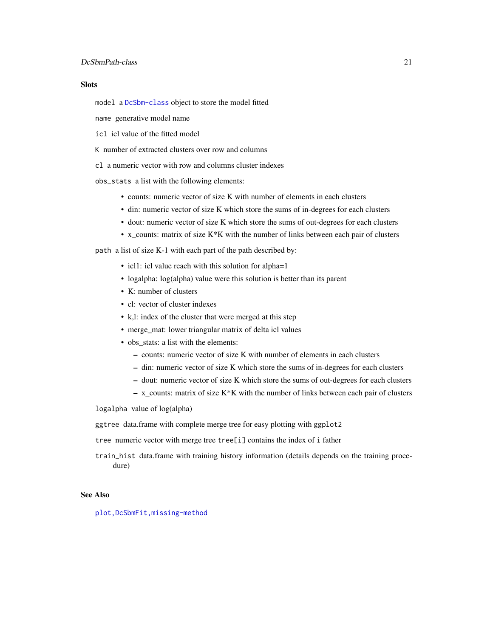## DcSbmPath-class 21

## **Slots**

model a [DcSbm-class](#page-17-2) object to store the model fitted

name generative model name

icl icl value of the fitted model

K number of extracted clusters over row and columns

cl a numeric vector with row and columns cluster indexes

obs\_stats a list with the following elements:

- counts: numeric vector of size K with number of elements in each clusters
- din: numeric vector of size K which store the sums of in-degrees for each clusters
- dout: numeric vector of size K which store the sums of out-degrees for each clusters
- x\_counts: matrix of size K\*K with the number of links between each pair of clusters

path a list of size K-1 with each part of the path described by:

- icl1: icl value reach with this solution for alpha=1
- logalpha: log(alpha) value were this solution is better than its parent
- K: number of clusters
- cl: vector of cluster indexes
- k,l: index of the cluster that were merged at this step
- merge\_mat: lower triangular matrix of delta icl values
- obs\_stats: a list with the elements:
	- counts: numeric vector of size K with number of elements in each clusters
	- din: numeric vector of size K which store the sums of in-degrees for each clusters
	- dout: numeric vector of size K which store the sums of out-degrees for each clusters
	- $-$  x\_counts: matrix of size K\*K with the number of links between each pair of clusters

logalpha value of log(alpha)

ggtree data.frame with complete merge tree for easy plotting with ggplot2

tree numeric vector with merge tree tree[i] contains the index of i father

train\_hist data.frame with training history information (details depends on the training procedure)

## See Also

[plot,DcSbmFit,missing-method](#page-0-0)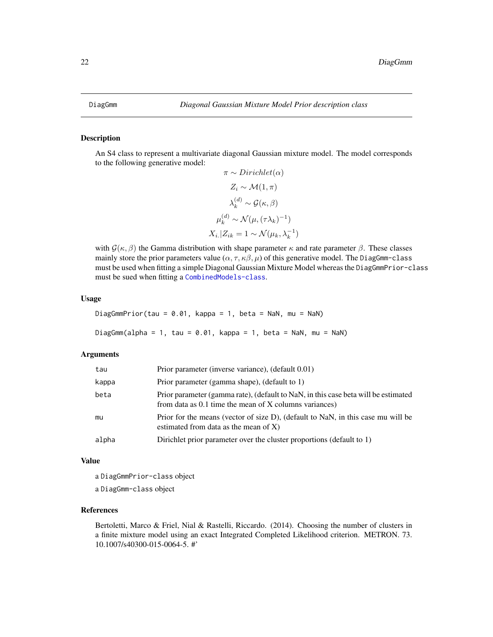<span id="page-21-2"></span><span id="page-21-1"></span><span id="page-21-0"></span>An S4 class to represent a multivariate diagonal Gaussian mixture model. The model corresponds to the following generative model:

$$
\pi \sim Dirichlet(\alpha)
$$
  
\n
$$
Z_i \sim \mathcal{M}(1, \pi)
$$
  
\n
$$
\lambda_k^{(d)} \sim \mathcal{G}(\kappa, \beta)
$$
  
\n
$$
\mu_k^{(d)} \sim \mathcal{N}(\mu, (\tau \lambda_k)^{-1})
$$
  
\n
$$
X_i | Z_{ik} = 1 \sim \mathcal{N}(\mu_k, \lambda_k^{-1})
$$

with  $\mathcal{G}(\kappa, \beta)$  the Gamma distribution with shape parameter  $\kappa$  and rate parameter  $\beta$ . These classes mainly store the prior parameters value  $(\alpha, \tau, \kappa\beta, \mu)$  of this generative model. The DiagGmm-class must be used when fitting a simple Diagonal Gaussian Mixture Model whereas the DiagGmmPrior-class must be sued when fitting a [CombinedModels-class](#page-11-1).

#### Usage

DiagGmmPrior(tau =  $0.01$ , kappa = 1, beta = NaN, mu = NaN) DiagGmm(alpha = 1, tau = 0.01, kappa = 1, beta = NaN, mu = NaN)

## Arguments

| tau   | Prior parameter (inverse variance), (default 0.01)                                                                                             |
|-------|------------------------------------------------------------------------------------------------------------------------------------------------|
| kappa | Prior parameter (gamma shape), (default to 1)                                                                                                  |
| beta  | Prior parameter (gamma rate), (default to NaN, in this case beta will be estimated<br>from data as $0.1$ time the mean of X columns variances) |
| mu    | Prior for the means (vector of size D), (default to NaN, in this case mu will be<br>estimated from data as the mean of $X$ )                   |
| alpha | Dirichlet prior parameter over the cluster proportions (default to 1)                                                                          |

#### Value

a DiagGmmPrior-class object

a DiagGmm-class object

#### References

Bertoletti, Marco & Friel, Nial & Rastelli, Riccardo. (2014). Choosing the number of clusters in a finite mixture model using an exact Integrated Completed Likelihood criterion. METRON. 73. 10.1007/s40300-015-0064-5. #'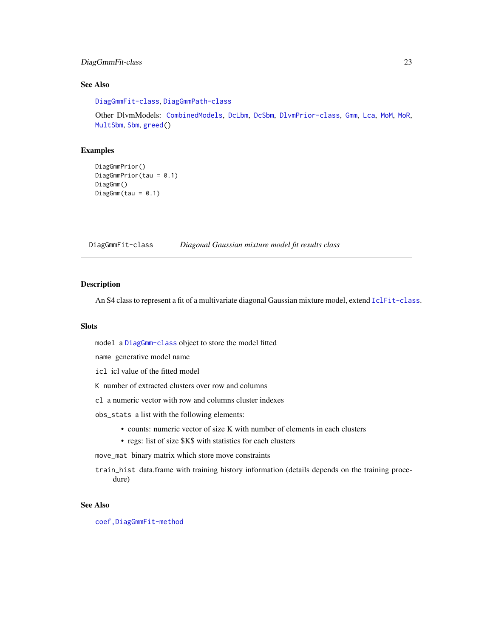## <span id="page-22-0"></span>DiagGmmFit-class 23

## See Also

[DiagGmmFit-class](#page-22-1), [DiagGmmPath-class](#page-23-1)

Other DlvmModels: [CombinedModels](#page-11-2), [DcLbm](#page-14-1), [DcSbm](#page-17-1), [DlvmPrior-class](#page-24-1), [Gmm](#page-28-1), [Lca](#page-36-1), [MoM](#page-39-1), [MoR](#page-42-1), [MultSbm](#page-45-1), [Sbm](#page-64-1), [greed\(](#page-31-1))

## Examples

```
DiagGmmPrior()
DiagGmmPrior(tau = 0.1)
DiagGmm()
DiagGmm(tau = 0.1)
```
<span id="page-22-1"></span>DiagGmmFit-class *Diagonal Gaussian mixture model fit results class*

## Description

An S4 class to represent a fit of a multivariate diagonal Gaussian mixture model, extend [IclFit-class](#page-34-1).

## Slots

model a [DiagGmm-class](#page-21-2) object to store the model fitted

name generative model name

icl icl value of the fitted model

K number of extracted clusters over row and columns

cl a numeric vector with row and columns cluster indexes

obs\_stats a list with the following elements:

- counts: numeric vector of size K with number of elements in each clusters
- regs: list of size \$K\$ with statistics for each clusters

move\_mat binary matrix which store move constraints

train\_hist data.frame with training history information (details depends on the training procedure)

## See Also

[coef,DiagGmmFit-method](#page-0-0)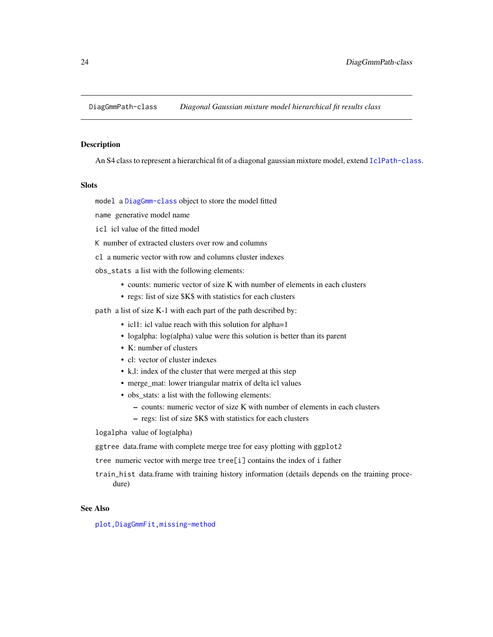<span id="page-23-1"></span><span id="page-23-0"></span>DiagGmmPath-class *Diagonal Gaussian mixture model hierarchical fit results class*

#### Description

An S4 class to represent a hierarchical fit of a diagonal gaussian mixture model, extend [IclPath-class](#page-35-1).

## **Slots**

model a [DiagGmm-class](#page-21-2) object to store the model fitted

name generative model name

- icl icl value of the fitted model
- K number of extracted clusters over row and columns
- cl a numeric vector with row and columns cluster indexes
- obs\_stats a list with the following elements:
	- counts: numeric vector of size K with number of elements in each clusters
	- regs: list of size \$K\$ with statistics for each clusters
- path a list of size K-1 with each part of the path described by:
	- icl1: icl value reach with this solution for alpha=1
	- logalpha: log(alpha) value were this solution is better than its parent
	- K: number of clusters
	- cl: vector of cluster indexes
	- k,l: index of the cluster that were merged at this step
	- merge\_mat: lower triangular matrix of delta icl values
	- obs stats: a list with the following elements:
		- counts: numeric vector of size K with number of elements in each clusters
		- regs: list of size \$K\$ with statistics for each clusters

logalpha value of log(alpha)

ggtree data.frame with complete merge tree for easy plotting with ggplot2

tree numeric vector with merge tree tree[i] contains the index of i father

train\_hist data.frame with training history information (details depends on the training procedure)

## See Also

[plot,DiagGmmFit,missing-method](#page-0-0)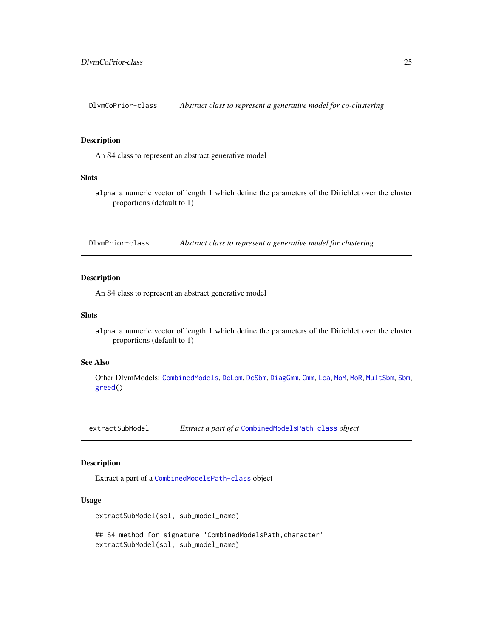<span id="page-24-0"></span>DlvmCoPrior-class *Abstract class to represent a generative model for co-clustering*

#### Description

An S4 class to represent an abstract generative model

## Slots

alpha a numeric vector of length 1 which define the parameters of the Dirichlet over the cluster proportions (default to 1)

<span id="page-24-1"></span>DlvmPrior-class *Abstract class to represent a generative model for clustering*

## Description

An S4 class to represent an abstract generative model

## Slots

alpha a numeric vector of length 1 which define the parameters of the Dirichlet over the cluster proportions (default to 1)

## See Also

Other DlvmModels: [CombinedModels](#page-11-2), [DcLbm](#page-14-1), [DcSbm](#page-17-1), [DiagGmm](#page-21-1), [Gmm](#page-28-1), [Lca](#page-36-1), [MoM](#page-39-1), [MoR](#page-42-1), [MultSbm](#page-45-1), [Sbm](#page-64-1), [greed\(](#page-31-1))

extractSubModel *Extract a part of a* [CombinedModelsPath-class](#page-12-2) *object*

## Description

Extract a part of a [CombinedModelsPath-class](#page-12-2) object

#### Usage

```
extractSubModel(sol, sub_model_name)
```
## S4 method for signature 'CombinedModelsPath, character' extractSubModel(sol, sub\_model\_name)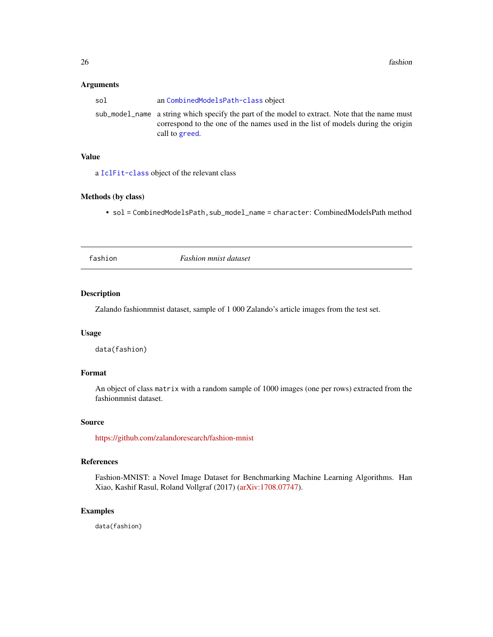#### <span id="page-25-0"></span>Arguments

| sol | an CombinedModelsPath-class object                                                                                                                                                                   |
|-----|------------------------------------------------------------------------------------------------------------------------------------------------------------------------------------------------------|
|     | sub model name a string which specify the part of the model to extract. Note that the name must<br>correspond to the one of the names used in the list of models during the origin<br>call to greed. |
|     |                                                                                                                                                                                                      |

#### Value

a [IclFit-class](#page-34-1) object of the relevant class

## Methods (by class)

• sol = CombinedModelsPath,sub\_model\_name = character: CombinedModelsPath method

| fashion |  |
|---------|--|
|         |  |

fashion *Fashion mnist dataset*

## Description

Zalando fashionmnist dataset, sample of 1 000 Zalando's article images from the test set.

#### Usage

data(fashion)

## Format

An object of class matrix with a random sample of 1000 images (one per rows) extracted from the fashionmnist dataset.

#### Source

<https://github.com/zalandoresearch/fashion-mnist>

## References

Fashion-MNIST: a Novel Image Dataset for Benchmarking Machine Learning Algorithms. Han Xiao, Kashif Rasul, Roland Vollgraf (2017) [\(arXiv:1708.07747\)](https://arxiv.org/abs/1708.07747).

## Examples

data(fashion)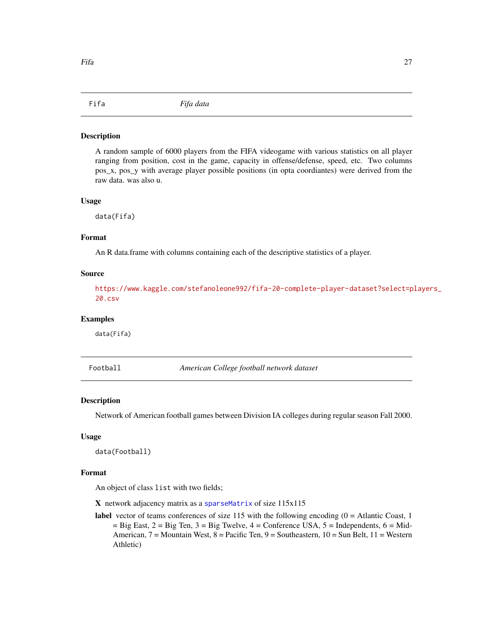<span id="page-26-0"></span>A random sample of 6000 players from the FIFA videogame with various statistics on all player ranging from position, cost in the game, capacity in offense/defense, speed, etc. Two columns pos\_x, pos\_y with average player possible positions (in opta coordiantes) were derived from the raw data. was also u.

#### Usage

data(Fifa)

#### Format

An R data.frame with columns containing each of the descriptive statistics of a player.

## Source

[https://www.kaggle.com/stefanoleone992/fifa-20-complete-player-dataset?select=p](https://www.kaggle.com/stefanoleone992/fifa-20-complete-player-dataset?select=players_20.csv)layers\_ [20.csv](https://www.kaggle.com/stefanoleone992/fifa-20-complete-player-dataset?select=players_20.csv)

## Examples

data(Fifa)

Football *American College football network dataset*

#### Description

Network of American football games between Division IA colleges during regular season Fall 2000.

## Usage

```
data(Football)
```
#### Format

An object of class list with two fields;

X network adjacency matrix as a [sparseMatrix](#page-0-0) of size 115x115

label vector of teams conferences of size  $115$  with the following encoding  $(0 =$  Atlantic Coast, 1  $=$  Big East,  $2 =$  Big Ten,  $3 =$  Big Twelve,  $4 =$  Conference USA,  $5 =$  Independents,  $6 =$  Mid-American, 7 = Mountain West, 8 = Pacific Ten, 9 = Southeastern, 10 = Sun Belt, 11 = Western Athletic)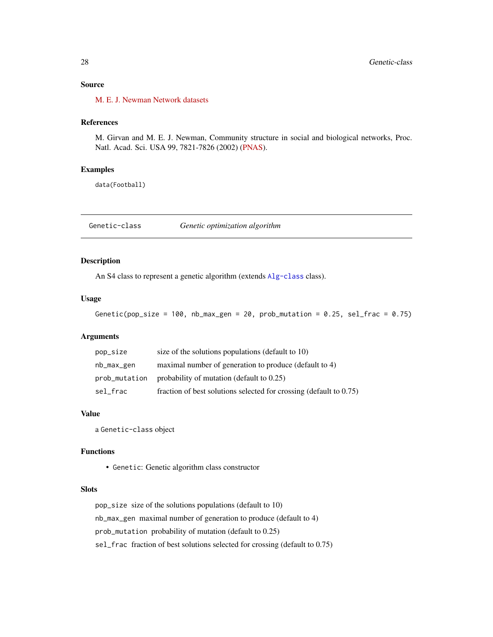## <span id="page-27-0"></span>Source

[M. E. J. Newman Network datasets](http://www-personal.umich.edu/~mejn/netdata/)

## References

M. Girvan and M. E. J. Newman, Community structure in social and biological networks, Proc. Natl. Acad. Sci. USA 99, 7821-7826 (2002) [\(PNAS\)](https://www.pnas.org/doi/10.1073/pnas.122653799).

#### Examples

data(Football)

<span id="page-27-1"></span>Genetic-class *Genetic optimization algorithm*

## Description

An S4 class to represent a genetic algorithm (extends [Alg-class](#page-3-1) class).

#### Usage

Genetic(pop\_size =  $100$ , nb\_max\_gen =  $20$ , prob\_mutation =  $0.25$ , sel\_frac =  $0.75$ )

## Arguments

| pop_size      | size of the solutions populations (default to 10)                     |
|---------------|-----------------------------------------------------------------------|
| nb_max_gen    | maximal number of generation to produce (default to 4)                |
| prob_mutation | probability of mutation (default to $0.25$ )                          |
| sel_frac      | fraction of best solutions selected for crossing (default to $0.75$ ) |

## Value

a Genetic-class object

#### Functions

• Genetic: Genetic algorithm class constructor

## Slots

pop\_size size of the solutions populations (default to 10) nb\_max\_gen maximal number of generation to produce (default to 4) prob\_mutation probability of mutation (default to 0.25) sel\_frac fraction of best solutions selected for crossing (default to 0.75)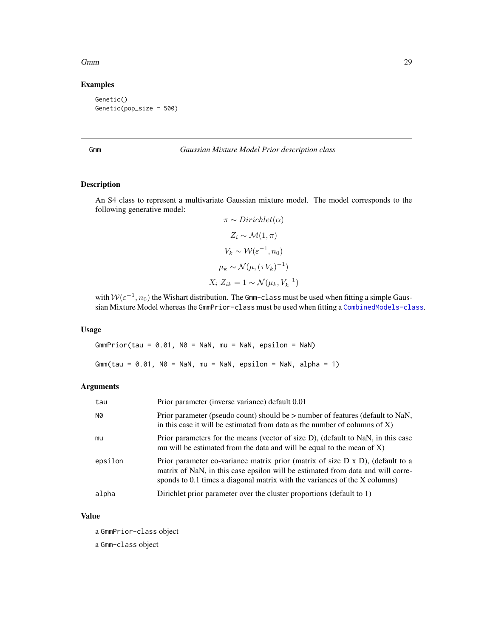#### <span id="page-28-0"></span>Gmm 29

## Examples

Genetic() Genetic(pop\_size = 500)

## <span id="page-28-1"></span>Gmm *Gaussian Mixture Model Prior description class*

## <span id="page-28-2"></span>Description

An S4 class to represent a multivariate Gaussian mixture model. The model corresponds to the following generative model:

$$
\pi \sim Dirichlet(\alpha)
$$
  
\n
$$
Z_i \sim \mathcal{M}(1, \pi)
$$
  
\n
$$
V_k \sim \mathcal{W}(\varepsilon^{-1}, n_0)
$$
  
\n
$$
\mu_k \sim \mathcal{N}(\mu, (\tau V_k)^{-1})
$$
  
\n
$$
X_i | Z_{ik} = 1 \sim \mathcal{N}(\mu_k, V_k^{-1})
$$

with  $W(\varepsilon^{-1}, n_0)$  the Wishart distribution. The Gmm-class must be used when fitting a simple Gaussian Mixture Model whereas the GmmPrior-class must be used when fitting a [CombinedModels-class](#page-11-1).

## Usage

 $GmmPrior(tau = 0.01, N0 = Nan, mu = Nan, epsilon = Nan)$ Gmm(tau =  $0.01$ , N $0 =$  NaN, mu = NaN, epsilon = NaN, alpha = 1)

## Arguments

| tau     | Prior parameter (inverse variance) default 0.01                                                                                                                                                                                                         |
|---------|---------------------------------------------------------------------------------------------------------------------------------------------------------------------------------------------------------------------------------------------------------|
| N0      | Prior parameter (pseudo count) should be > number of features (default to NaN,<br>in this case it will be estimated from data as the number of columns of $X$ )                                                                                         |
| mu      | Prior parameters for the means (vector of size D), (default to NaN, in this case<br>mu will be estimated from the data and will be equal to the mean of $X$ )                                                                                           |
| epsilon | Prior parameter co-variance matrix prior (matrix of size $D \times D$ ), (default to a<br>matrix of NaN, in this case epsilon will be estimated from data and will corre-<br>sponds to 0.1 times a diagonal matrix with the variances of the X columns) |
| alpha   | Dirichlet prior parameter over the cluster proportions (default to 1)                                                                                                                                                                                   |

#### Value

a GmmPrior-class object

a Gmm-class object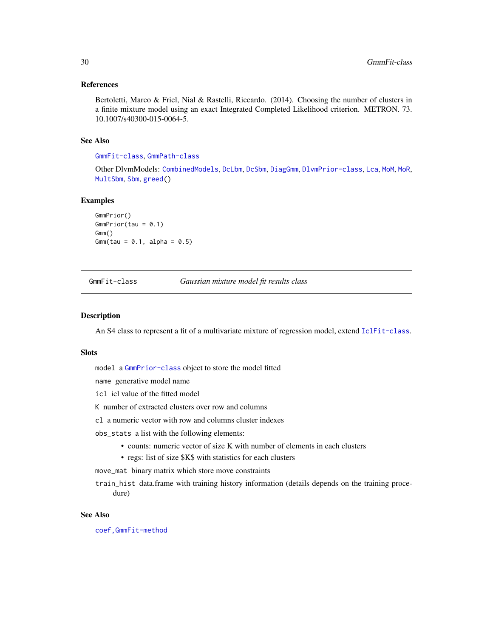#### <span id="page-29-0"></span>References

Bertoletti, Marco & Friel, Nial & Rastelli, Riccardo. (2014). Choosing the number of clusters in a finite mixture model using an exact Integrated Completed Likelihood criterion. METRON. 73. 10.1007/s40300-015-0064-5.

## See Also

[GmmFit-class](#page-29-1), [GmmPath-class](#page-30-1)

Other DlvmModels: [CombinedModels](#page-11-2), [DcLbm](#page-14-1), [DcSbm](#page-17-1), [DiagGmm](#page-21-1), [DlvmPrior-class](#page-24-1), [Lca](#page-36-1), [MoM](#page-39-1), [MoR](#page-42-1), [MultSbm](#page-45-1), [Sbm](#page-64-1), [greed\(](#page-31-1))

#### Examples

```
GmmPrior()
GmmPrior(tau = 0.1)Gmm()
Gmm(tau = 0.1, alpha = 0.5)
```
<span id="page-29-1"></span>GmmFit-class *Gaussian mixture model fit results class*

#### Description

An S4 class to represent a fit of a multivariate mixture of regression model, extend [IclFit-class](#page-34-1).

#### Slots

model a [GmmPrior-class](#page-28-2) object to store the model fitted

name generative model name

icl icl value of the fitted model

K number of extracted clusters over row and columns

cl a numeric vector with row and columns cluster indexes

obs\_stats a list with the following elements:

- counts: numeric vector of size K with number of elements in each clusters
- regs: list of size \$K\$ with statistics for each clusters

move\_mat binary matrix which store move constraints

train\_hist data.frame with training history information (details depends on the training procedure)

## See Also

[coef,GmmFit-method](#page-0-0)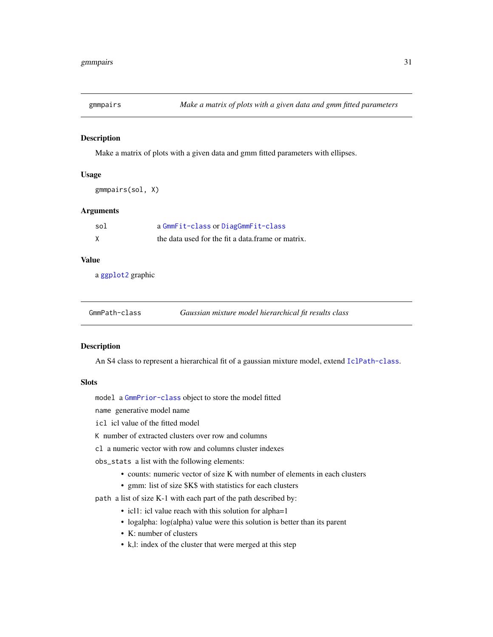<span id="page-30-0"></span>

Make a matrix of plots with a given data and gmm fitted parameters with ellipses.

#### Usage

```
gmmpairs(sol, X)
```
## Arguments

| sol | a GmmFit-class or DiagGmmFit-class                |
|-----|---------------------------------------------------|
|     | the data used for the fit a data frame or matrix. |

## Value

a [ggplot2](#page-0-0) graphic

<span id="page-30-1"></span>

| GmmPath-class | Gaussian mixture model hierarchical fit results class |  |
|---------------|-------------------------------------------------------|--|
|               |                                                       |  |

## Description

An S4 class to represent a hierarchical fit of a gaussian mixture model, extend [IclPath-class](#page-35-1).

#### **Slots**

model a [GmmPrior-class](#page-28-2) object to store the model fitted

name generative model name

icl icl value of the fitted model

K number of extracted clusters over row and columns

cl a numeric vector with row and columns cluster indexes

obs\_stats a list with the following elements:

- counts: numeric vector of size K with number of elements in each clusters
- gmm: list of size \$K\$ with statistics for each clusters

path a list of size K-1 with each part of the path described by:

- icl1: icl value reach with this solution for alpha=1
- logalpha: log(alpha) value were this solution is better than its parent
- K: number of clusters
- k,l: index of the cluster that were merged at this step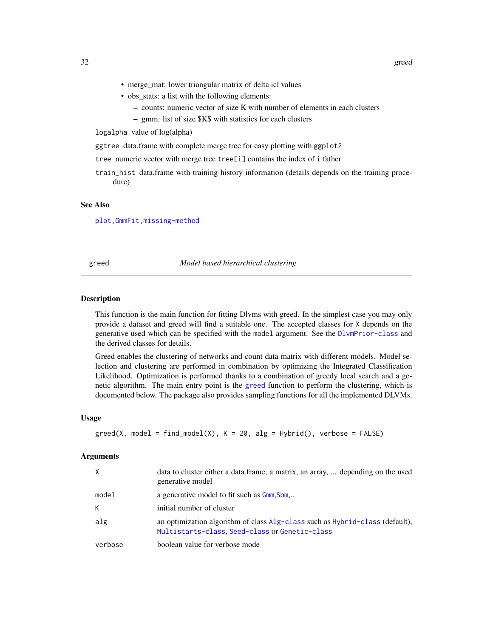- <span id="page-31-0"></span>• merge\_mat: lower triangular matrix of delta icl values
- obs stats: a list with the following elements:
	- counts: numeric vector of size K with number of elements in each clusters
	- gmm: list of size \$K\$ with statistics for each clusters

logalpha value of log(alpha)

ggtree data.frame with complete merge tree for easy plotting with ggplot2

tree numeric vector with merge tree tree[i] contains the index of i father

train\_hist data.frame with training history information (details depends on the training procedure)

#### See Also

[plot,GmmFit,missing-method](#page-0-0)

### <span id="page-31-1"></span>greed *Model based hierarchical clustering*

#### Description

This function is the main function for fitting Dlvms with greed. In the simplest case you may only provide a dataset and greed will find a suitable one. The accepted classes for X depends on the generative used which can be specified with the model argument. See the [DlvmPrior-class](#page-24-1) and the derived classes for details.

Greed enables the clustering of networks and count data matrix with different models. Model selection and clustering are performed in combination by optimizing the Integrated Classification Likelihood. Optimization is performed thanks to a combination of greedy local search and a genetic algorithm. The main entry point is the [greed](#page-31-1) function to perform the clustering, which is documented below. The package also provides sampling functions for all the implemented DLVMs.

#### Usage

```
greed(X, model = find_model(X), K = 20, alg = Hybrid(), verbose = FALSE)
```
#### Arguments

| $\times$ | data to cluster either a data.frame, a matrix, an array,  depending on the used<br>generative model                                  |
|----------|--------------------------------------------------------------------------------------------------------------------------------------|
| model    | a generative model to fit such as G <sub>mm</sub> , Sbm                                                                              |
| К        | initial number of cluster                                                                                                            |
| alg      | an optimization algorithm of class $Alg$ -class such as $Hybrid$ -class (default),<br>Multistarts-class, Seed-class or Genetic-class |
| verbose  | boolean value for verbose mode                                                                                                       |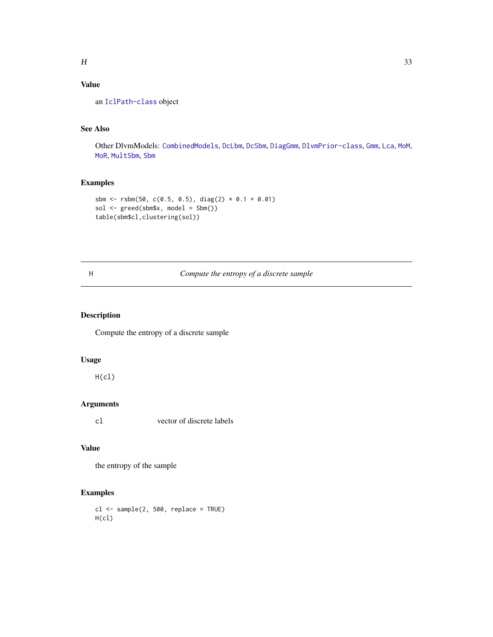## <span id="page-32-0"></span>Value

an [IclPath-class](#page-35-1) object

## See Also

Other DlvmModels: [CombinedModels](#page-11-2), [DcLbm](#page-14-1), [DcSbm](#page-17-1), [DiagGmm](#page-21-1), [DlvmPrior-class](#page-24-1), [Gmm](#page-28-1), [Lca](#page-36-1), [MoM](#page-39-1), [MoR](#page-42-1), [MultSbm](#page-45-1), [Sbm](#page-64-1)

## Examples

```
sbm <- rsbm(50, c(0.5, 0.5), diag(2) * 0.1 + 0.01)
sol <- greed(sbm$x, model = Sbm())
table(sbm$cl,clustering(sol))
```
## H *Compute the entropy of a discrete sample*

## Description

Compute the entropy of a discrete sample

## Usage

 $H(cl)$ 

## Arguments

cl vector of discrete labels

## Value

the entropy of the sample

## Examples

 $cl \leq -$  sample(2, 500, replace = TRUE) H(cl)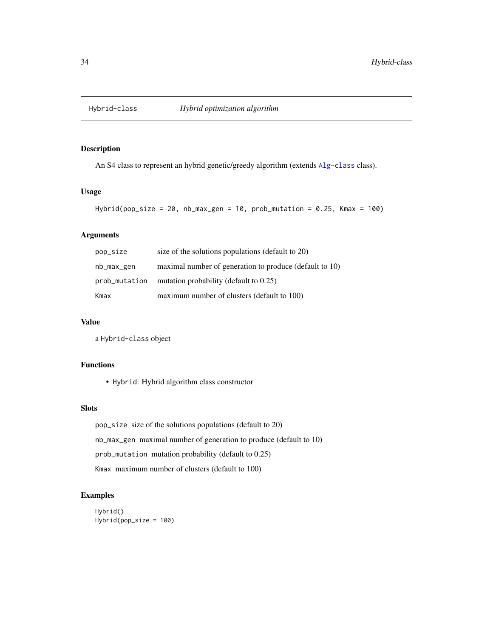<span id="page-33-1"></span><span id="page-33-0"></span>

An S4 class to represent an hybrid genetic/greedy algorithm (extends [Alg-class](#page-3-1) class).

## Usage

```
Hybrid(pop_size = 20, nb_max_gen = 10, prob_mutation = 0.25, Kmax = 100)
```
## Arguments

| pop_size      | size of the solutions populations (default to 20)       |
|---------------|---------------------------------------------------------|
| nb_max_gen    | maximal number of generation to produce (default to 10) |
| prob_mutation | mutation probability (default to $0.25$ )               |
| Kmax          | maximum number of clusters (default to 100)             |

## Value

a Hybrid-class object

## Functions

• Hybrid: Hybrid algorithm class constructor

## Slots

pop\_size size of the solutions populations (default to 20) nb\_max\_gen maximal number of generation to produce (default to 10) prob\_mutation mutation probability (default to 0.25) Kmax maximum number of clusters (default to 100)

## Examples

```
Hybrid()
Hybrid(pop_size = 100)
```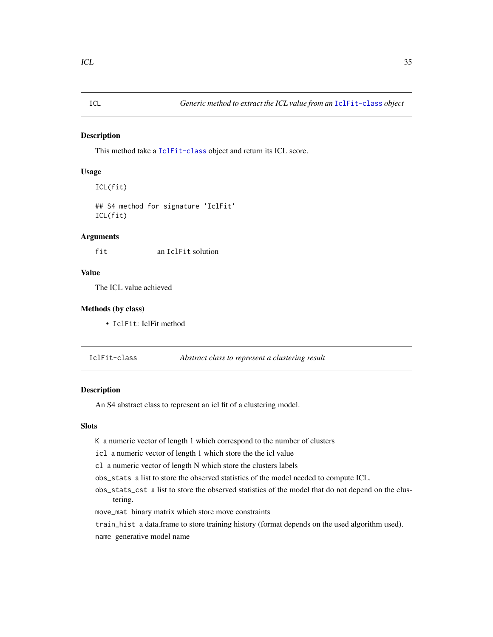<span id="page-34-0"></span>This method take a [IclFit-class](#page-34-1) object and return its ICL score.

## Usage

ICL(fit)

## S4 method for signature 'IclFit' ICL(fit)

#### Arguments

fit an IclFit solution

## Value

The ICL value achieved

## Methods (by class)

• IclFit: IclFit method

<span id="page-34-1"></span>IclFit-class *Abstract class to represent a clustering result*

## Description

An S4 abstract class to represent an icl fit of a clustering model.

#### Slots

- K a numeric vector of length 1 which correspond to the number of clusters
- icl a numeric vector of length 1 which store the the icl value
- cl a numeric vector of length N which store the clusters labels
- obs\_stats a list to store the observed statistics of the model needed to compute ICL.
- obs\_stats\_cst a list to store the observed statistics of the model that do not depend on the clustering.
- move\_mat binary matrix which store move constraints
- train\_hist a data.frame to store training history (format depends on the used algorithm used).
- name generative model name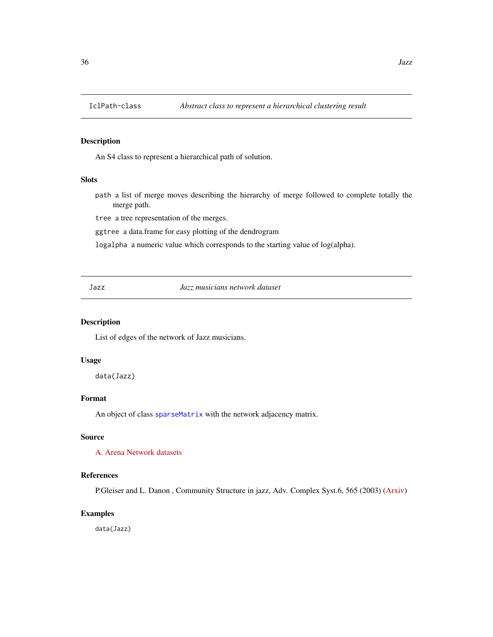<span id="page-35-1"></span><span id="page-35-0"></span>

An S4 class to represent a hierarchical path of solution.

## Slots

path a list of merge moves describing the hierarchy of merge followed to complete totally the merge path.

tree a tree representation of the merges.

ggtree a data.frame for easy plotting of the dendrogram

logalpha a numeric value which corresponds to the starting value of log(alpha).

Jazz *Jazz musicians network dataset*

#### Description

List of edges of the network of Jazz musicians.

#### Usage

data(Jazz)

## Format

An object of class [sparseMatrix](#page-0-0) with the network adjacency matrix.

## Source

[A. Arena Network datasets](http://deim.urv.cat/~alexandre.arenas/data/welcome.htm)

## References

P.Gleiser and L. Danon , Community Structure in jazz, Adv. Complex Syst.6, 565 (2003) [\(Arxiv\)](https://arxiv.org/abs/cond-mat/0307434)

## Examples

data(Jazz)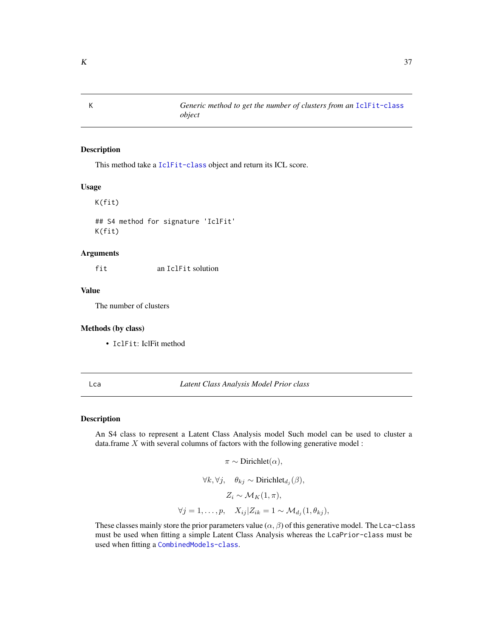<span id="page-36-2"></span>

#### Description

This method take a [IclFit-class](#page-34-0) object and return its ICL score.

#### Usage

K(fit)

## S4 method for signature 'IclFit' K(fit)

### Arguments

fit an IclFit solution

### Value

The number of clusters

### Methods (by class)

• IclFit: IclFit method

#### <span id="page-36-1"></span>Lca *Latent Class Analysis Model Prior class*

#### <span id="page-36-0"></span>Description

An S4 class to represent a Latent Class Analysis model Such model can be used to cluster a data.frame  $X$  with several columns of factors with the following generative model :

```
\pi \sim \text{Dirichlet}(\alpha),\forall k, \forall j, \quad \theta_{kj} \sim \text{Dirichlet}_{d_j}(\beta),Z_i \sim \mathcal{M}_K(1,\pi),\forall j=1,\ldots,p, \quad X_{ij} | Z_{ik} = 1 \sim \mathcal{M}_{d_j}(1,\theta_{kj}),
```
These classes mainly store the prior parameters value  $(\alpha, \beta)$  of this generative model. The Lca-class must be used when fitting a simple Latent Class Analysis whereas the LcaPrior-class must be used when fitting a [CombinedModels-class](#page-11-0).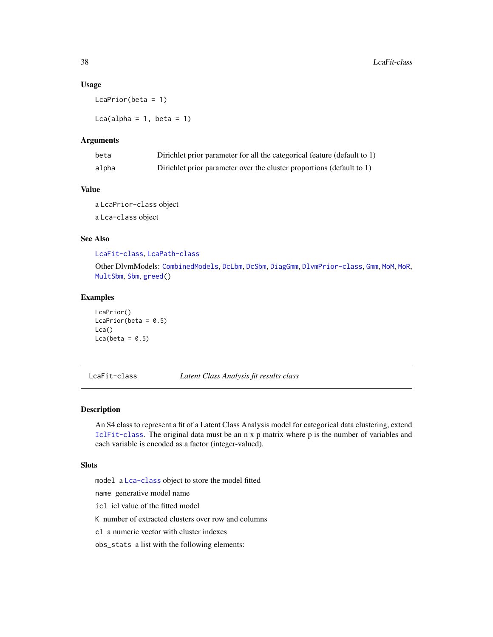#### <span id="page-37-1"></span>Usage

LcaPrior(beta = 1)

Lca(alpha =  $1$ , beta =  $1$ )

#### Arguments

| beta  | Dirichlet prior parameter for all the categorical feature (default to 1) |
|-------|--------------------------------------------------------------------------|
| alpha | Dirichlet prior parameter over the cluster proportions (default to 1)    |

#### Value

a LcaPrior-class object a Lca-class object

### See Also

[LcaFit-class](#page-37-0), [LcaPath-class](#page-38-0)

Other DlvmModels: [CombinedModels](#page-11-1), [DcLbm](#page-14-0), [DcSbm](#page-17-0), [DiagGmm](#page-21-0), [DlvmPrior-class](#page-24-0), [Gmm](#page-28-0), [MoM](#page-39-0), [MoR](#page-42-0), [MultSbm](#page-45-0), [Sbm](#page-64-0), [greed\(](#page-31-0))

### Examples

LcaPrior()  $LcaPrior(beta = 0.5)$ Lca()  $Lca(beta = 0.5)$ 

<span id="page-37-0"></span>LcaFit-class *Latent Class Analysis fit results class*

#### Description

An S4 class to represent a fit of a Latent Class Analysis model for categorical data clustering, extend [IclFit-class](#page-34-0). The original data must be an n x p matrix where p is the number of variables and each variable is encoded as a factor (integer-valued).

### Slots

model a [Lca-class](#page-36-0) object to store the model fitted

name generative model name

icl icl value of the fitted model

K number of extracted clusters over row and columns

cl a numeric vector with cluster indexes

obs\_stats a list with the following elements: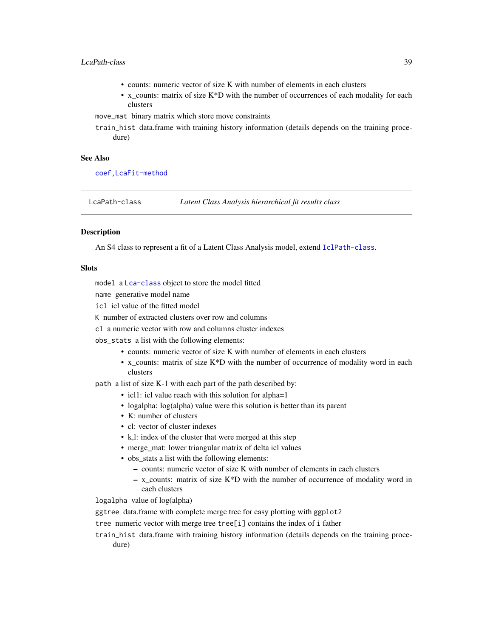### LcaPath-class 39

- counts: numeric vector of size K with number of elements in each clusters
- x counts: matrix of size  $K*D$  with the number of occurrences of each modality for each clusters

move\_mat binary matrix which store move constraints

train\_hist data.frame with training history information (details depends on the training procedure)

#### See Also

[coef,LcaFit-method](#page-0-0)

<span id="page-38-0"></span>LcaPath-class *Latent Class Analysis hierarchical fit results class*

#### **Description**

An S4 class to represent a fit of a Latent Class Analysis model, extend [IclPath-class](#page-35-0).

#### **Slots**

model a [Lca-class](#page-36-0) object to store the model fitted

name generative model name

icl icl value of the fitted model

K number of extracted clusters over row and columns

cl a numeric vector with row and columns cluster indexes

obs\_stats a list with the following elements:

- counts: numeric vector of size K with number of elements in each clusters
- x\_counts: matrix of size K\*D with the number of occurrence of modality word in each clusters

path a list of size K-1 with each part of the path described by:

- icl1: icl value reach with this solution for alpha=1
- logalpha: log(alpha) value were this solution is better than its parent
- K: number of clusters
- cl: vector of cluster indexes
- k,l: index of the cluster that were merged at this step
- merge\_mat: lower triangular matrix of delta icl values
- obs\_stats a list with the following elements:
	- counts: numeric vector of size K with number of elements in each clusters
	- $x_0$  counts: matrix of size K\*D with the number of occurrence of modality word in each clusters

logalpha value of log(alpha)

ggtree data.frame with complete merge tree for easy plotting with ggplot2

tree numeric vector with merge tree tree[i] contains the index of i father

train\_hist data.frame with training history information (details depends on the training procedure)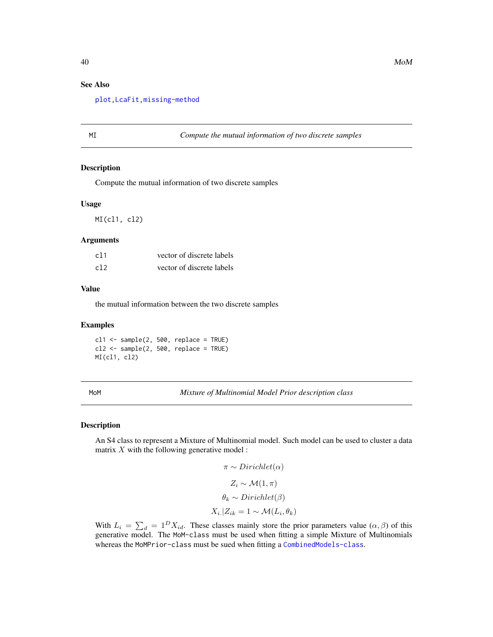### See Also

[plot,LcaFit,missing-method](#page-0-0)

MI *Compute the mutual information of two discrete samples*

#### Description

Compute the mutual information of two discrete samples

#### Usage

MI(cl1, cl2)

#### Arguments

| c11 | vector of discrete labels |
|-----|---------------------------|
| c12 | vector of discrete labels |

#### Value

the mutual information between the two discrete samples

#### Examples

 $c11$  <- sample(2, 500, replace = TRUE)  $c12 \leq -$  sample(2, 500, replace = TRUE) MI(cl1, cl2)

<span id="page-39-0"></span>MoM *Mixture of Multinomial Model Prior description class*

### <span id="page-39-1"></span>Description

An S4 class to represent a Mixture of Multinomial model. Such model can be used to cluster a data matrix  $X$  with the following generative model :

$$
\pi \sim Dirichlet(\alpha)
$$
  
\n
$$
Z_i \sim \mathcal{M}(1, \pi)
$$
  
\n
$$
\theta_k \sim Dirichlet(\beta)
$$
  
\n
$$
X_i. | Z_{ik} = 1 \sim \mathcal{M}(L_i, \theta_k)
$$

With  $L_i = \sum_d = 1^D X_{id}$ . These classes mainly store the prior parameters value  $(\alpha, \beta)$  of this generative model. The MoM-class must be used when fitting a simple Mixture of Multinomials whereas the MoMPrior-class must be sued when fitting a [CombinedModels-class](#page-11-0).

<span id="page-39-2"></span>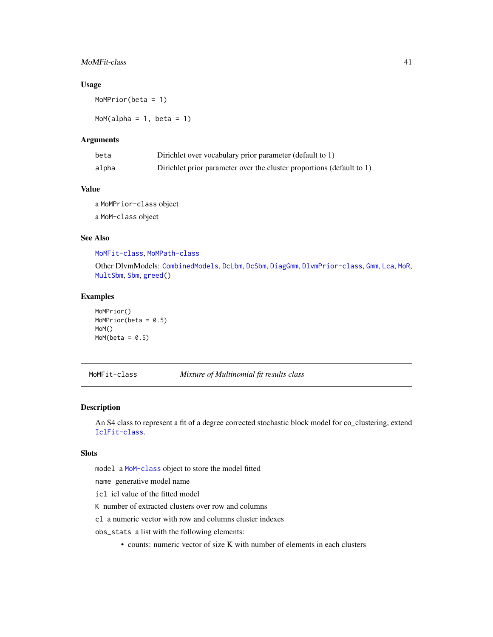### <span id="page-40-1"></span>MoMFit-class 41

### Usage

MoMPrior(beta = 1)

 $MoM(alpha = 1, beta = 1)$ 

### Arguments

| beta  | Dirichlet over vocabulary prior parameter (default to 1)              |
|-------|-----------------------------------------------------------------------|
| alpha | Dirichlet prior parameter over the cluster proportions (default to 1) |

#### Value

a MoMPrior-class object a MoM-class object

### See Also

[MoMFit-class](#page-40-0), [MoMPath-class](#page-41-0)

Other DlvmModels: [CombinedModels](#page-11-1), [DcLbm](#page-14-0), [DcSbm](#page-17-0), [DiagGmm](#page-21-0), [DlvmPrior-class](#page-24-0), [Gmm](#page-28-0), [Lca](#page-36-1), [MoR](#page-42-0), [MultSbm](#page-45-0), [Sbm](#page-64-0), [greed\(](#page-31-0))

### Examples

MoMPrior() MoMPrior(beta =  $0.5$ ) MoM()  $MoM(beta = 0.5)$ 

<span id="page-40-0"></span>MoMFit-class *Mixture of Multinomial fit results class*

### Description

An S4 class to represent a fit of a degree corrected stochastic block model for co\_clustering, extend [IclFit-class](#page-34-0).

### Slots

model a [MoM-class](#page-39-1) object to store the model fitted

name generative model name

icl icl value of the fitted model

K number of extracted clusters over row and columns

cl a numeric vector with row and columns cluster indexes

obs\_stats a list with the following elements:

• counts: numeric vector of size K with number of elements in each clusters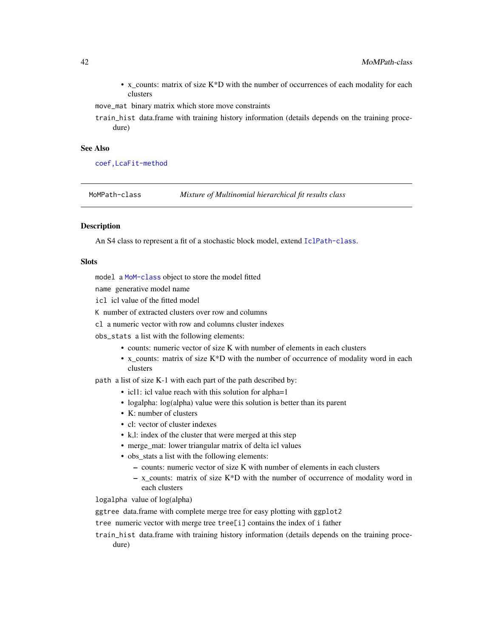•  $x_{\text{counts}}$ : matrix of size  $K^*D$  with the number of occurrences of each modality for each clusters

move\_mat binary matrix which store move constraints

train\_hist data.frame with training history information (details depends on the training procedure)

#### See Also

[coef,LcaFit-method](#page-0-0)

<span id="page-41-0"></span>MoMPath-class *Mixture of Multinomial hierarchical fit results class*

### **Description**

An S4 class to represent a fit of a stochastic block model, extend [IclPath-class](#page-35-0).

### **Slots**

model a [MoM-class](#page-39-1) object to store the model fitted

name generative model name

icl icl value of the fitted model

- K number of extracted clusters over row and columns
- cl a numeric vector with row and columns cluster indexes

obs\_stats a list with the following elements:

- counts: numeric vector of size K with number of elements in each clusters
- x\_counts: matrix of size K\*D with the number of occurrence of modality word in each clusters

path a list of size K-1 with each part of the path described by:

- icl1: icl value reach with this solution for alpha=1
- logalpha: log(alpha) value were this solution is better than its parent
- K: number of clusters
- cl: vector of cluster indexes
- k,l: index of the cluster that were merged at this step
- merge\_mat: lower triangular matrix of delta icl values
- obs stats a list with the following elements:
	- counts: numeric vector of size K with number of elements in each clusters
	- x\_counts: matrix of size K\*D with the number of occurrence of modality word in each clusters

logalpha value of log(alpha)

ggtree data.frame with complete merge tree for easy plotting with ggplot2

tree numeric vector with merge tree tree[i] contains the index of i father

train\_hist data.frame with training history information (details depends on the training procedure)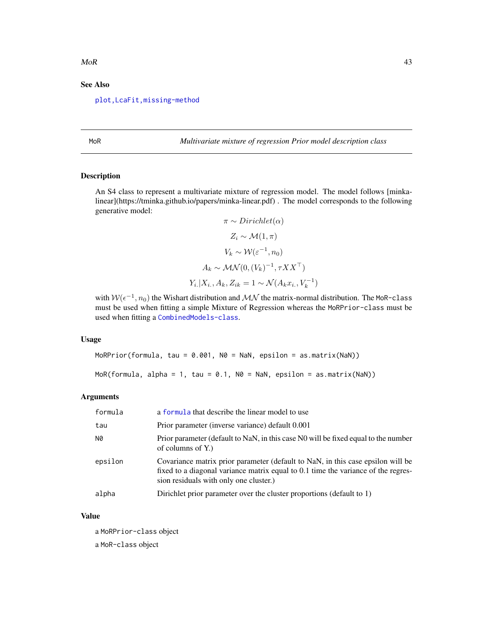#### <span id="page-42-2"></span> $M$ oR  $43$

### See Also

[plot,LcaFit,missing-method](#page-0-0)

<span id="page-42-0"></span>MoR *Multivariate mixture of regression Prior model description class*

#### <span id="page-42-1"></span>Description

An S4 class to represent a multivariate mixture of regression model. The model follows [minkalinear](https://tminka.github.io/papers/minka-linear.pdf) . The model corresponds to the following generative model:

$$
\pi \sim Dirichlet(\alpha)
$$
  
\n
$$
Z_i \sim \mathcal{M}(1, \pi)
$$
  
\n
$$
V_k \sim \mathcal{W}(\varepsilon^{-1}, n_0)
$$
  
\n
$$
A_k \sim \mathcal{MN}(0, (V_k)^{-1}, \tau X X^{\top})
$$
  
\n
$$
Y_i | X_i, A_k, Z_{ik} = 1 \sim \mathcal{N}(A_k x_i, V_k^{-1})
$$

with  $W(\epsilon^{-1}, n_0)$  the Wishart distribution and  $\mathcal{MN}$  the matrix-normal distribution. The MoR-class must be used when fitting a simple Mixture of Regression whereas the MoRPrior-class must be used when fitting a [CombinedModels-class](#page-11-0).

#### Usage

```
MoRPrior(formula, tau = 0.001, N0 = NaN, epsilon = as.matrix(NaN))
MoR(formula, alpha = 1, tau = 0.1, N0 = NaN, epsilon = as.matrix(NaN))
```
#### Arguments

| formula | a formula that describe the linear model to use                                                                                                                                                                |
|---------|----------------------------------------------------------------------------------------------------------------------------------------------------------------------------------------------------------------|
| tau     | Prior parameter (inverse variance) default 0.001                                                                                                                                                               |
| N0      | Prior parameter (default to NaN, in this case N0 will be fixed equal to the number<br>of columns of $Y$ .)                                                                                                     |
| epsilon | Covariance matrix prior parameter (default to NaN, in this case epsilon will be<br>fixed to a diagonal variance matrix equal to 0.1 time the variance of the regres-<br>sion residuals with only one cluster.) |
| alpha   | Dirichlet prior parameter over the cluster proportions (default to 1)                                                                                                                                          |

#### Value

a MoRPrior-class object a MoR-class object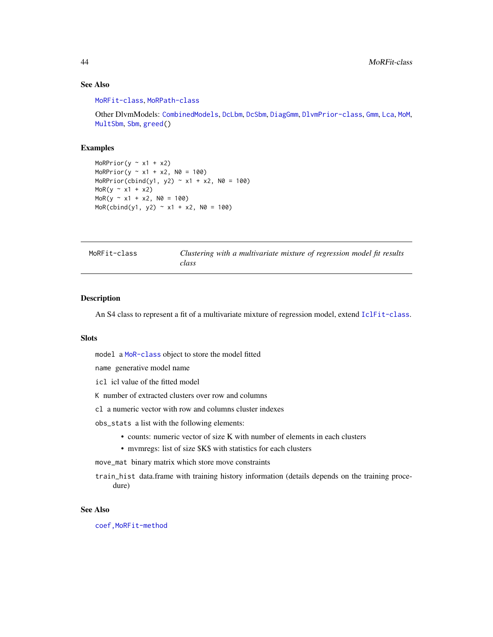### See Also

[MoRFit-class](#page-43-0), [MoRPath-class](#page-44-0)

Other DlvmModels: [CombinedModels](#page-11-1), [DcLbm](#page-14-0), [DcSbm](#page-17-0), [DiagGmm](#page-21-0), [DlvmPrior-class](#page-24-0), [Gmm](#page-28-0), [Lca](#page-36-1), [MoM](#page-39-0), [MultSbm](#page-45-0), [Sbm](#page-64-0), [greed\(](#page-31-0))

#### Examples

```
MoRPrior(y \sim x1 + x2)
MoRPrior(y \approx x1 + x2, N0 = 100)
MoRPrior(cbind(y1, y2) \sim x1 + x2, N0 = 100)
MoR(y \sim x1 + x2)
MoR(y \sim x1 + x2, N0 = 100)MoR(cbind(y1, y2) ~ x1 + x2, N0 = 100)
```
<span id="page-43-0"></span>

|  | MoRFit-class |  |
|--|--------------|--|
|--|--------------|--|

Clustering with a multivariate mixture of regression model fit results *class*

#### Description

An S4 class to represent a fit of a multivariate mixture of regression model, extend [IclFit-class](#page-34-0).

#### **Slots**

model a [MoR-class](#page-42-1) object to store the model fitted

name generative model name

icl icl value of the fitted model

K number of extracted clusters over row and columns

cl a numeric vector with row and columns cluster indexes

obs\_stats a list with the following elements:

- counts: numeric vector of size K with number of elements in each clusters
- mvmregs: list of size \$K\$ with statistics for each clusters

move\_mat binary matrix which store move constraints

train\_hist data.frame with training history information (details depends on the training procedure)

#### See Also

[coef,MoRFit-method](#page-0-0)

<span id="page-43-1"></span>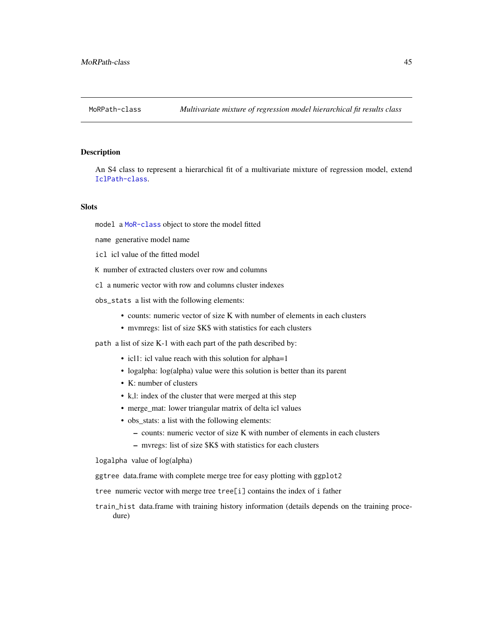<span id="page-44-0"></span>

#### Description

An S4 class to represent a hierarchical fit of a multivariate mixture of regression model, extend [IclPath-class](#page-35-0).

#### **Slots**

model a [MoR-class](#page-42-1) object to store the model fitted

name generative model name

icl icl value of the fitted model

K number of extracted clusters over row and columns

- cl a numeric vector with row and columns cluster indexes
- obs\_stats a list with the following elements:
	- counts: numeric vector of size K with number of elements in each clusters
	- mvmregs: list of size \$K\$ with statistics for each clusters

path a list of size K-1 with each part of the path described by:

- icl1: icl value reach with this solution for alpha=1
- logalpha: log(alpha) value were this solution is better than its parent
- K: number of clusters
- k,l: index of the cluster that were merged at this step
- merge\_mat: lower triangular matrix of delta icl values
- obs\_stats: a list with the following elements:
	- counts: numeric vector of size K with number of elements in each clusters
	- mvregs: list of size \$K\$ with statistics for each clusters

logalpha value of log(alpha)

ggtree data.frame with complete merge tree for easy plotting with ggplot2

tree numeric vector with merge tree tree[i] contains the index of i father

train\_hist data.frame with training history information (details depends on the training procedure)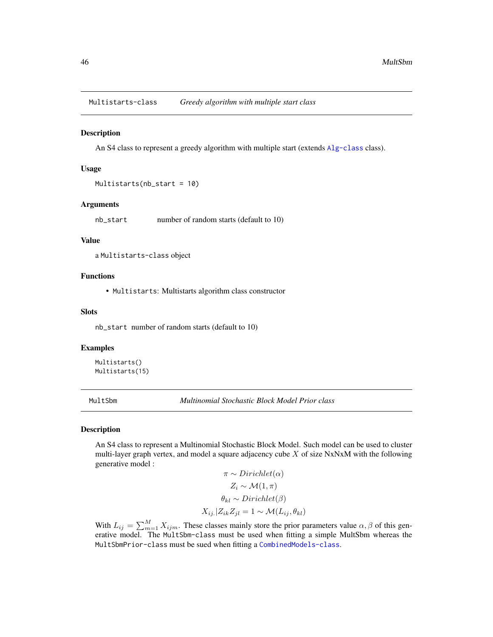<span id="page-45-2"></span>Multistarts-class *Greedy algorithm with multiple start class*

#### Description

An S4 class to represent a greedy algorithm with multiple start (extends [Alg-class](#page-3-0) class).

#### Usage

```
Multistarts(nb_start = 10)
```
#### Arguments

nb\_start number of random starts (default to 10)

#### Value

a Multistarts-class object

#### Functions

• Multistarts: Multistarts algorithm class constructor

#### Slots

nb\_start number of random starts (default to 10)

#### Examples

```
Multistarts()
Multistarts(15)
```
<span id="page-45-0"></span>MultSbm *Multinomial Stochastic Block Model Prior class*

#### <span id="page-45-1"></span>Description

An S4 class to represent a Multinomial Stochastic Block Model. Such model can be used to cluster multi-layer graph vertex, and model a square adjacency cube  $X$  of size NxNxM with the following generative model :  $\mathbf{D}$ :  $\mathbf{D}$   $\mathbf{D}$ 

$$
\pi \sim Dirichlet(\alpha)
$$
  
\n
$$
Z_i \sim \mathcal{M}(1, \pi)
$$
  
\n
$$
\theta_{kl} \sim Dirichlet(\beta)
$$
  
\n
$$
X_{ij.}|Z_{ik}Z_{jl} = 1 \sim \mathcal{M}(L_{ij}, \theta_{kl})
$$

With  $L_{ij} = \sum_{m=1}^{M} X_{ijm}$ . These classes mainly store the prior parameters value  $\alpha, \beta$  of this generative model. The MultSbm-class must be used when fitting a simple MultSbm whereas the MultSbmPrior-class must be sued when fitting a [CombinedModels-class](#page-11-0).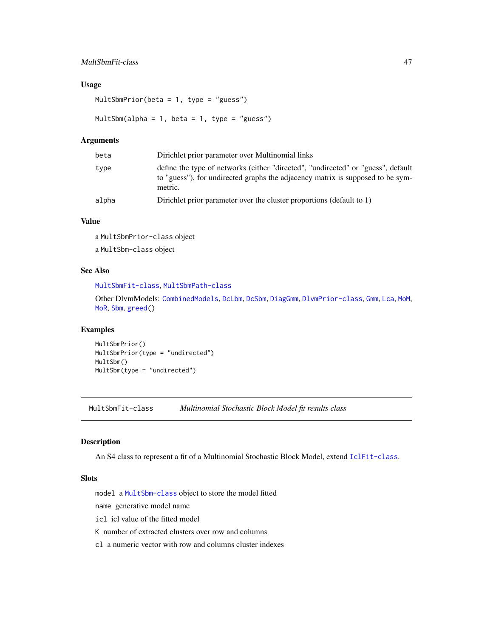### <span id="page-46-1"></span>MultSbmFit-class 47

### Usage

MultSbmPrior(beta = 1, type = "guess")

MultSbm(alpha = 1, beta = 1, type = "guess")

#### Arguments

| beta  | Dirichlet prior parameter over Multinomial links                                                                                                                              |
|-------|-------------------------------------------------------------------------------------------------------------------------------------------------------------------------------|
| type  | define the type of networks (either "directed", "undirected" or "guess", default<br>to "guess"), for undirected graphs the adjacency matrix is supposed to be sym-<br>metric. |
| alpha | Dirichlet prior parameter over the cluster proportions (default to 1)                                                                                                         |

### Value

a MultSbmPrior-class object a MultSbm-class object

#### See Also

```
MultSbmFit-class, MultSbmPath-class
```
Other DlvmModels: [CombinedModels](#page-11-1), [DcLbm](#page-14-0), [DcSbm](#page-17-0), [DiagGmm](#page-21-0), [DlvmPrior-class](#page-24-0), [Gmm](#page-28-0), [Lca](#page-36-1), [MoM](#page-39-0), [MoR](#page-42-0), [Sbm](#page-64-0), [greed\(](#page-31-0))

#### Examples

MultSbmPrior() MultSbmPrior(type = "undirected") MultSbm() MultSbm(type = "undirected")

<span id="page-46-0"></span>MultSbmFit-class *Multinomial Stochastic Block Model fit results class*

### Description

An S4 class to represent a fit of a Multinomial Stochastic Block Model, extend [IclFit-class](#page-34-0).

#### Slots

model a [MultSbm-class](#page-45-1) object to store the model fitted

name generative model name

icl icl value of the fitted model

K number of extracted clusters over row and columns

cl a numeric vector with row and columns cluster indexes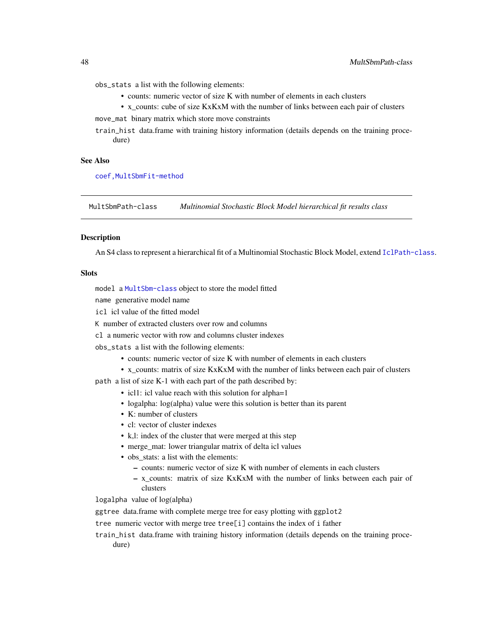obs\_stats a list with the following elements:

- counts: numeric vector of size K with number of elements in each clusters
- x\_counts: cube of size KxKxM with the number of links between each pair of clusters move\_mat binary matrix which store move constraints
- train\_hist data.frame with training history information (details depends on the training procedure)

#### See Also

[coef,MultSbmFit-method](#page-0-0)

<span id="page-47-0"></span>MultSbmPath-class *Multinomial Stochastic Block Model hierarchical fit results class*

#### **Description**

An S4 class to represent a hierarchical fit of a Multinomial Stochastic Block Model, extend [IclPath-class](#page-35-0).

#### **Slots**

model a [MultSbm-class](#page-45-1) object to store the model fitted

name generative model name

icl icl value of the fitted model

K number of extracted clusters over row and columns

cl a numeric vector with row and columns cluster indexes

obs\_stats a list with the following elements:

- counts: numeric vector of size K with number of elements in each clusters
- x counts: matrix of size KxKxM with the number of links between each pair of clusters

path a list of size K-1 with each part of the path described by:

- icl1: icl value reach with this solution for alpha=1
- logalpha: log(alpha) value were this solution is better than its parent
- K: number of clusters
- cl: vector of cluster indexes
- k,l: index of the cluster that were merged at this step
- merge\_mat: lower triangular matrix of delta icl values
- obs stats: a list with the elements:
	- counts: numeric vector of size K with number of elements in each clusters
	- x\_counts: matrix of size KxKxM with the number of links between each pair of clusters

logalpha value of log(alpha)

ggtree data.frame with complete merge tree for easy plotting with ggplot2

tree numeric vector with merge tree tree[i] contains the index of i father

train\_hist data.frame with training history information (details depends on the training procedure)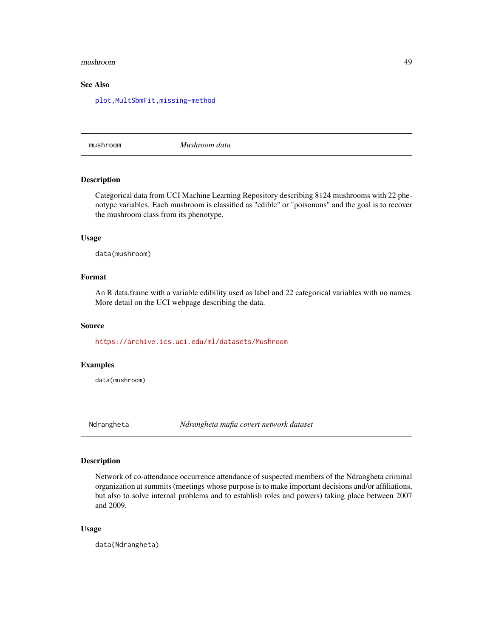#### <span id="page-48-0"></span>mushroom 49

### See Also

[plot,MultSbmFit,missing-method](#page-0-0)

mushroom *Mushroom data*

#### Description

Categorical data from UCI Machine Learning Repository describing 8124 mushrooms with 22 phenotype variables. Each mushroom is classified as "edible" or "poisonous" and the goal is to recover the mushroom class from its phenotype.

### Usage

data(mushroom)

### Format

An R data.frame with a variable edibility used as label and 22 categorical variables with no names. More detail on the UCI webpage describing the data.

#### Source

<https://archive.ics.uci.edu/ml/datasets/Mushroom>

#### Examples

data(mushroom)

Ndrangheta *Ndrangheta mafia covert network dataset*

#### Description

Network of co-attendance occurrence attendance of suspected members of the Ndrangheta criminal organization at summits (meetings whose purpose is to make important decisions and/or affiliations, but also to solve internal problems and to establish roles and powers) taking place between 2007 and 2009.

#### Usage

data(Ndrangheta)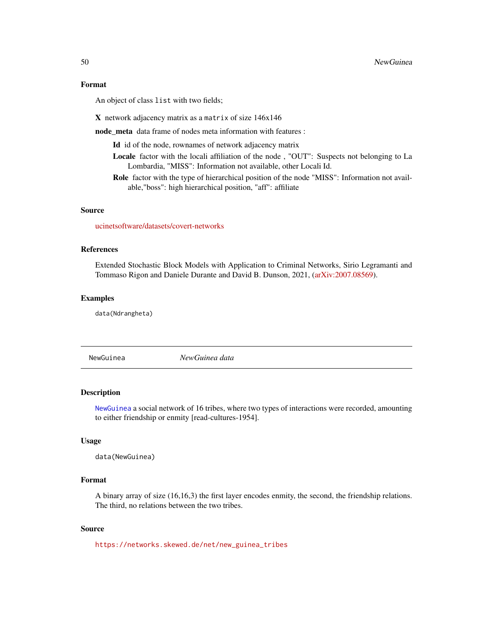#### <span id="page-49-1"></span>Format

An object of class list with two fields;

X network adjacency matrix as a matrix of size 146x146

node\_meta data frame of nodes meta information with features :

Id id of the node, rownames of network adjacency matrix

- Locale factor with the locali affiliation of the node , "OUT": Suspects not belonging to La Lombardia, "MISS": Information not available, other Locali Id.
- Role factor with the type of hierarchical position of the node "MISS": Information not available,"boss": high hierarchical position, "aff": affiliate

#### Source

[ucinetsoftware/datasets/covert-networks](https://sites.google.com/site/ucinetsoftware/datasets/covert-networks)

#### References

Extended Stochastic Block Models with Application to Criminal Networks, Sirio Legramanti and Tommaso Rigon and Daniele Durante and David B. Dunson, 2021, [\(arXiv:2007.08569\)](https://arxiv.org/abs/2007.08569v2).

#### Examples

data(Ndrangheta)

<span id="page-49-0"></span>NewGuinea *NewGuinea data*

#### Description

[NewGuinea](#page-49-0) a social network of 16 tribes, where two types of interactions were recorded, amounting to either friendship or enmity [read-cultures-1954].

#### Usage

```
data(NewGuinea)
```
#### Format

A binary array of size (16,16,3) the first layer encodes enmity, the second, the friendship relations. The third, no relations between the two tribes.

#### Source

[https://networks.skewed.de/net/new\\_guinea\\_tribes](https://networks.skewed.de/net/new_guinea_tribes)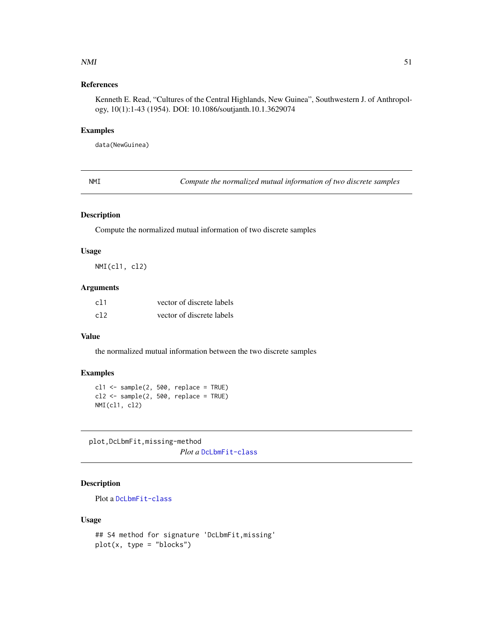#### <span id="page-50-0"></span> $NMI$  51

### References

Kenneth E. Read, "Cultures of the Central Highlands, New Guinea", Southwestern J. of Anthropology, 10(1):1-43 (1954). DOI: 10.1086/soutjanth.10.1.3629074

#### Examples

data(NewGuinea)

NMI *Compute the normalized mutual information of two discrete samples*

#### Description

Compute the normalized mutual information of two discrete samples

### Usage

NMI(cl1, cl2)

### Arguments

| c11 | vector of discrete labels |
|-----|---------------------------|
| c12 | vector of discrete labels |

### Value

the normalized mutual information between the two discrete samples

#### Examples

```
cl1 <- sample(2, 500, replace = TRUE)
cl2 \leq - sample(2, 500, replace = TRUE)
NMI(cl1, cl2)
```
plot,DcLbmFit,missing-method *Plot a* [DcLbmFit-class](#page-15-0)

### Description

Plot a [DcLbmFit-class](#page-15-0)

#### Usage

```
## S4 method for signature 'DcLbmFit,missing'
plot(x, type = "blocks")
```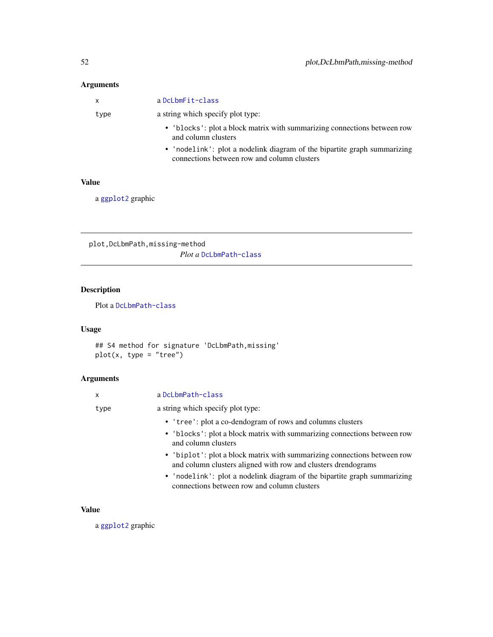### <span id="page-51-0"></span>Arguments

| $\mathsf{x}$ | a DcLbmFit-class                                                                                                        |
|--------------|-------------------------------------------------------------------------------------------------------------------------|
| type         | a string which specify plot type:                                                                                       |
|              | • 'blocks': plot a block matrix with summarizing connections between row<br>and column clusters                         |
|              | • 'nodelink': plot a nodelink diagram of the bipartite graph summarizing<br>connections between row and column clusters |

#### Value

a [ggplot2](#page-0-0) graphic

plot,DcLbmPath,missing-method *Plot a* [DcLbmPath-class](#page-16-0)

### Description

Plot a [DcLbmPath-class](#page-16-0)

### Usage

## S4 method for signature 'DcLbmPath,missing' plot(x, type = "tree")

### Arguments

| X    | a DcLbmPath-class                                                                                                                         |
|------|-------------------------------------------------------------------------------------------------------------------------------------------|
| type | a string which specify plot type:                                                                                                         |
|      | • 'tree': plot a co-dendogram of rows and columns clusters                                                                                |
|      | • 'blocks': plot a block matrix with summarizing connections between row<br>and column clusters                                           |
|      | • 'biplot': plot a block matrix with summarizing connections between row<br>and column clusters aligned with row and clusters drendograms |
|      | • 'nodelink': plot a nodelink diagram of the bipartite graph summarizing<br>connections between row and column clusters                   |

### Value

a [ggplot2](#page-0-0) graphic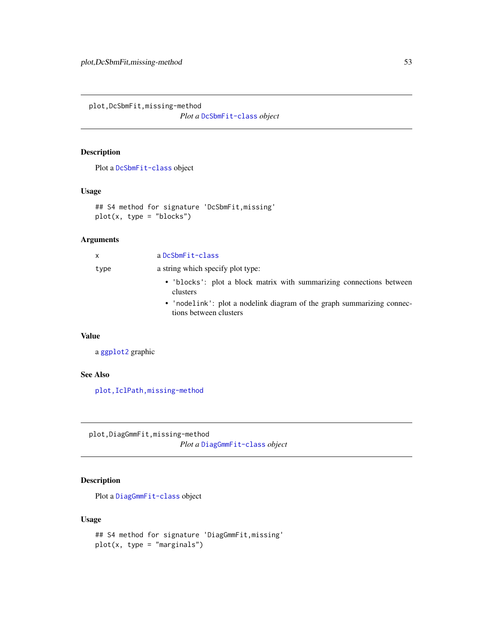<span id="page-52-0"></span>plot,DcSbmFit,missing-method

*Plot a* [DcSbmFit-class](#page-19-0) *object*

### Description

Plot a [DcSbmFit-class](#page-19-0) object

### Usage

```
## S4 method for signature 'DcSbmFit,missing'
plot(x, type = "blocks")
```
### Arguments

| $\mathsf{X}$ | a DcSbmFit-class                                                                                 |
|--------------|--------------------------------------------------------------------------------------------------|
| type         | a string which specify plot type:                                                                |
|              | • 'blocks': plot a block matrix with summarizing connections between<br>clusters                 |
|              | • 'nodelink': plot a nodelink diagram of the graph summarizing connec-<br>tions between clusters |

### Value

a [ggplot2](#page-0-0) graphic

### See Also

[plot,IclPath,missing-method](#page-0-0)

plot,DiagGmmFit,missing-method

*Plot a* [DiagGmmFit-class](#page-22-0) *object*

### Description

Plot a [DiagGmmFit-class](#page-22-0) object

### Usage

```
## S4 method for signature 'DiagGmmFit,missing'
plot(x, type = "marginals")
```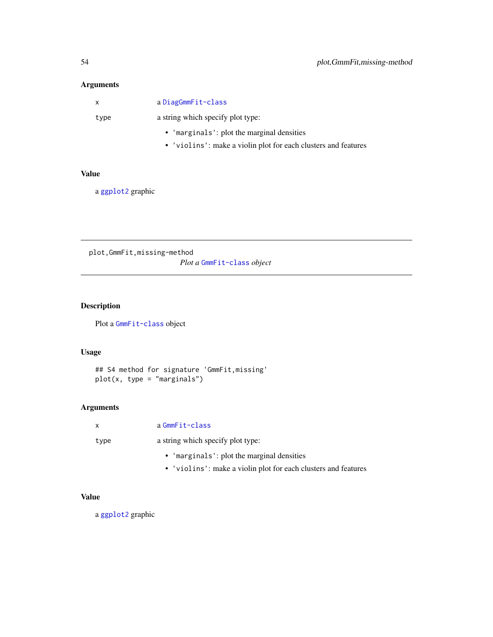### Arguments

| $\mathsf{X}$ | a DiagGmmFit-class                                             |
|--------------|----------------------------------------------------------------|
| type         | a string which specify plot type:                              |
|              | • 'marginals': plot the marginal densities                     |
|              | • 'violins': make a violin plot for each clusters and features |

### Value

a [ggplot2](#page-0-0) graphic

plot,GmmFit,missing-method *Plot a* [GmmFit-class](#page-29-0) *object*

### Description

Plot a [GmmFit-class](#page-29-0) object

### Usage

## S4 method for signature 'GmmFit,missing' plot(x, type = "marginals")

### Arguments

|      | a GmmFit-class                                                 |
|------|----------------------------------------------------------------|
| type | a string which specify plot type:                              |
|      | • 'marginals': plot the marginal densities                     |
|      | • 'violins': make a violin plot for each clusters and features |

### Value

a [ggplot2](#page-0-0) graphic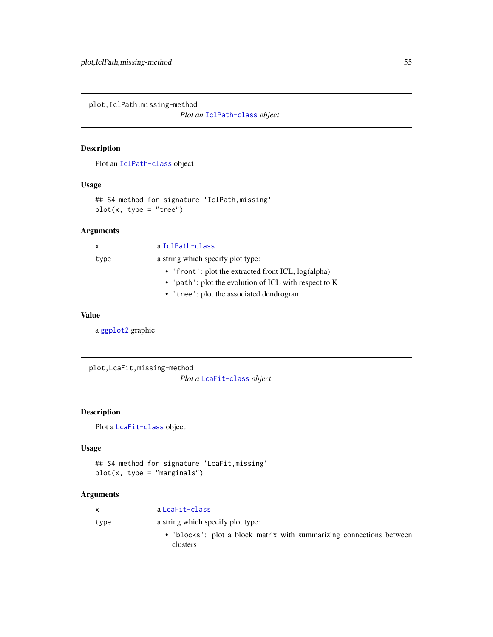plot,IclPath,missing-method

*Plot an* [IclPath-class](#page-35-0) *object*

### Description

Plot an [IclPath-class](#page-35-0) object

### Usage

## S4 method for signature 'IclPath,missing' plot(x, type = "tree")

### Arguments

| x    | a IclPath-class                                       |
|------|-------------------------------------------------------|
| type | a string which specify plot type:                     |
|      | • 'front': plot the extracted front ICL, $log(alpha)$ |
|      | • 'path': plot the evolution of ICL with respect to K |
|      | • 'tree': plot the associated dendrogram              |

### Value

a [ggplot2](#page-0-0) graphic

plot,LcaFit,missing-method

*Plot a* [LcaFit-class](#page-37-0) *object*

### Description

Plot a [LcaFit-class](#page-37-0) object

### Usage

```
## S4 method for signature 'LcaFit,missing'
plot(x, type = "marginals")
```
### Arguments

| X    | a LcaFit-class                                                                   |
|------|----------------------------------------------------------------------------------|
| type | a string which specify plot type:                                                |
|      | • 'blocks': plot a block matrix with summarizing connections between<br>clusters |
|      |                                                                                  |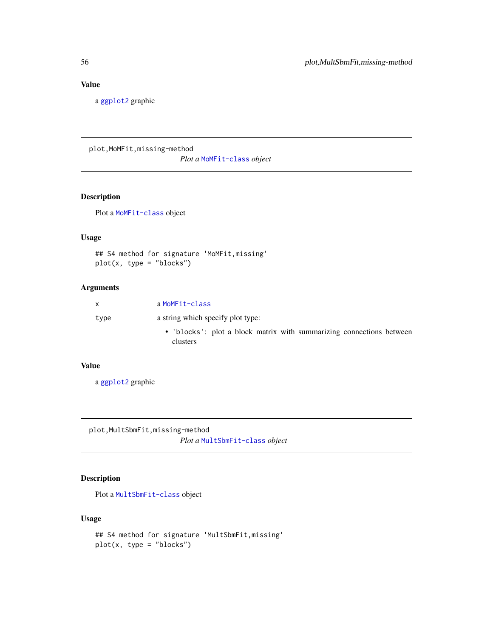### Value

a [ggplot2](#page-0-0) graphic

plot, MoMFit, missing-method *Plot a* [MoMFit-class](#page-40-0) *object*

### Description

Plot a [MoMFit-class](#page-40-0) object

#### Usage

## S4 method for signature 'MoMFit,missing' plot(x, type = "blocks")

### Arguments

| X.   | a MoMFit-class                                                                   |
|------|----------------------------------------------------------------------------------|
| type | a string which specify plot type:                                                |
|      | • 'blocks': plot a block matrix with summarizing connections between<br>clusters |

### Value

a [ggplot2](#page-0-0) graphic

plot,MultSbmFit,missing-method *Plot a* [MultSbmFit-class](#page-46-0) *object*

### Description

Plot a [MultSbmFit-class](#page-46-0) object

### Usage

```
## S4 method for signature 'MultSbmFit,missing'
plot(x, type = "blocks")
```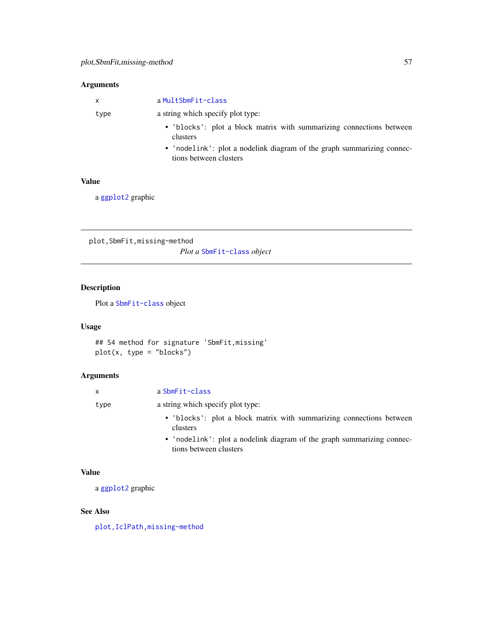### Arguments

| $\mathsf{x}$ | a MultSbmFit-class                                                                               |
|--------------|--------------------------------------------------------------------------------------------------|
| type         | a string which specify plot type:                                                                |
|              | • 'blocks': plot a block matrix with summarizing connections between<br>clusters                 |
|              | • 'nodelink': plot a nodelink diagram of the graph summarizing connec-<br>tions between clusters |

### Value

a [ggplot2](#page-0-0) graphic

plot,SbmFit,missing-method *Plot a* [SbmFit-class](#page-65-0) *object*

### Description

Plot a [SbmFit-class](#page-65-0) object

### Usage

## S4 method for signature 'SbmFit,missing' plot(x, type = "blocks")

### Arguments

| $\mathbf{x}$ | a SbmFit-class                                                                   |
|--------------|----------------------------------------------------------------------------------|
| type         | a string which specify plot type:                                                |
|              | • 'blocks': plot a block matrix with summarizing connections between<br>clusters |
|              | • 'nodelink': plot a nodelink diagram of the graph summarizing connec-           |

• 'nodelink': plot a nodelink diagram of the graph summarizing connections between clusters

#### Value

a [ggplot2](#page-0-0) graphic

### See Also

[plot,IclPath,missing-method](#page-0-0)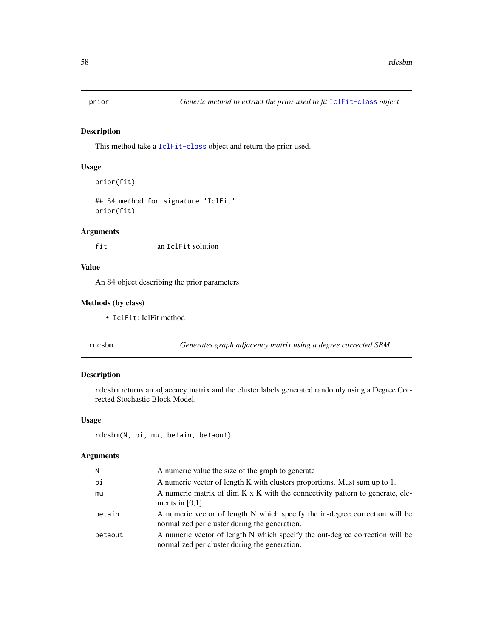#### Description

This method take a [IclFit-class](#page-34-0) object and return the prior used.

#### Usage

```
prior(fit)
```

```
## S4 method for signature 'IclFit'
prior(fit)
```
### Arguments

fit an IclFit solution

#### Value

An S4 object describing the prior parameters

#### Methods (by class)

• IclFit: IclFit method

rdcsbm *Generates graph adjacency matrix using a degree corrected SBM*

### Description

rdcsbm returns an adjacency matrix and the cluster labels generated randomly using a Degree Corrected Stochastic Block Model.

### Usage

```
rdcsbm(N, pi, mu, betain, betaout)
```
### Arguments

| Ν       | A numeric value the size of the graph to generate                                                                             |
|---------|-------------------------------------------------------------------------------------------------------------------------------|
| рi      | A numeric vector of length K with clusters proportions. Must sum up to 1.                                                     |
| mu      | A numeric matrix of dim K x K with the connectivity pattern to generate, ele-<br>ments in $[0,1]$ .                           |
| betain  | A numeric vector of length N which specify the in-degree correction will be<br>normalized per cluster during the generation.  |
| betaout | A numeric vector of length N which specify the out-degree correction will be<br>normalized per cluster during the generation. |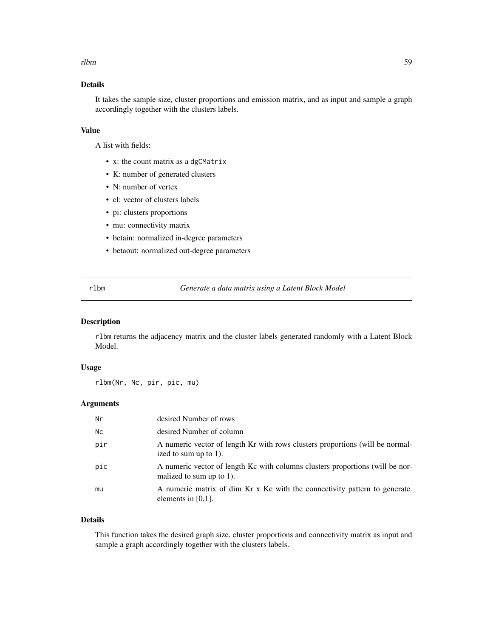#### rlbm 59

### Details

It takes the sample size, cluster proportions and emission matrix, and as input and sample a graph accordingly together with the clusters labels.

### Value

A list with fields:

- x: the count matrix as a dgCMatrix
- K: number of generated clusters
- N: number of vertex
- cl: vector of clusters labels
- pi: clusters proportions
- mu: connectivity matrix
- betain: normalized in-degree parameters
- betaout: normalized out-degree parameters

rlbm *Generate a data matrix using a Latent Block Model*

#### Description

rlbm returns the adjacency matrix and the cluster labels generated randomly with a Latent Block Model.

#### Usage

rlbm(Nr, Nc, pir, pic, mu)

### Arguments

| Nr        | desired Number of rows                                                                                    |
|-----------|-----------------------------------------------------------------------------------------------------------|
| <b>Nc</b> | desired Number of column                                                                                  |
| pir       | A numeric vector of length Kr with rows clusters proportions (will be normal-<br>ized to sum up to 1).    |
| pic       | A numeric vector of length Kc with columns clusters proportions (will be nor-<br>malized to sum up to 1). |
| mu        | A numeric matrix of dim Kr x Kc with the connectivity pattern to generate.<br>elements in $[0,1]$ .       |

#### Details

This function takes the desired graph size, cluster proportions and connectivity matrix as input and sample a graph accordingly together with the clusters labels.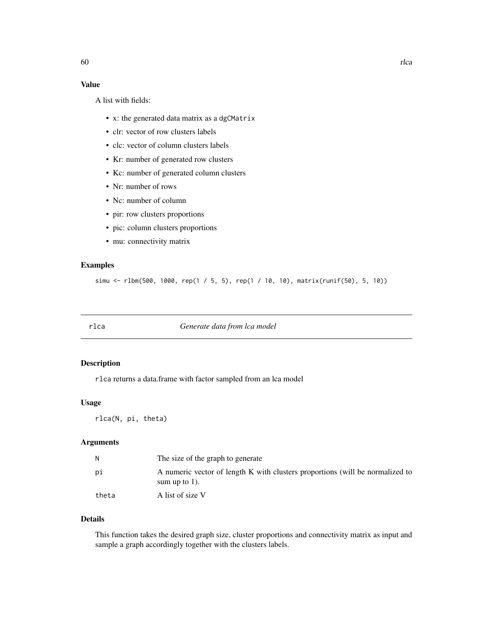### Value

A list with fields:

- x: the generated data matrix as a dgCMatrix
- clr: vector of row clusters labels
- clc: vector of column clusters labels
- Kr: number of generated row clusters
- Kc: number of generated column clusters
- Nr: number of rows
- Nc: number of column
- pir: row clusters proportions
- pic: column clusters proportions
- mu: connectivity matrix

### Examples

```
simu <- rlbm(500, 1000, rep(1 / 5, 5), rep(1 / 10, 10), matrix(runif(50), 5, 10))
```
rlca *Generate data from lca model*

#### Description

rlca returns a data.frame with factor sampled from an lca model

#### Usage

rlca(N, pi, theta)

### Arguments

| N     | The size of the graph to generate                                                                 |
|-------|---------------------------------------------------------------------------------------------------|
| рi    | A numeric vector of length K with clusters proportions (will be normalized to<br>sum up to $1$ ). |
| theta | A list of size V                                                                                  |

### Details

This function takes the desired graph size, cluster proportions and connectivity matrix as input and sample a graph accordingly together with the clusters labels.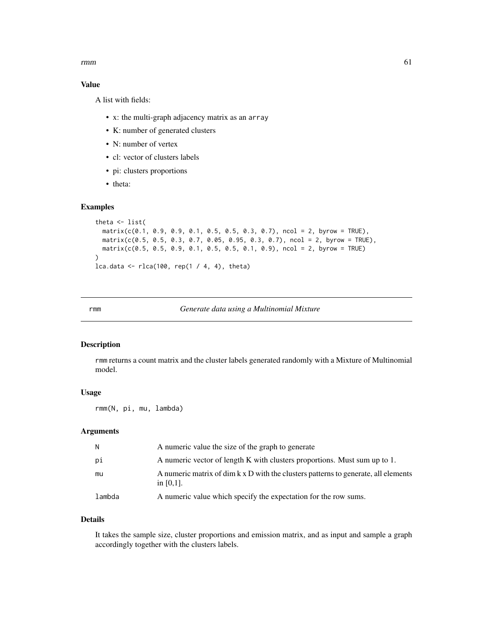$r_{\rm mm}$  61

### Value

A list with fields:

- x: the multi-graph adjacency matrix as an array
- K: number of generated clusters
- N: number of vertex
- cl: vector of clusters labels
- pi: clusters proportions
- theta:

### Examples

```
theta <- list(
  matrix(c(0.1, 0.9, 0.9, 0.1, 0.5, 0.5, 0.3, 0.7), ncol = 2, byrow = TRUE),matrix(c(0.5, 0.5, 0.3, 0.7, 0.05, 0.95, 0.3, 0.7), ncol = 2, byrow = TRUE),
  matrix(c(0.5, 0.5, 0.9, 0.1, 0.5, 0.5, 0.1, 0.9), ncol = 2, byrow = TRUE))
lca.data <- rlca(100, rep(1 / 4, 4), theta)
```
rmm *Generate data using a Multinomial Mixture*

### Description

rmm returns a count matrix and the cluster labels generated randomly with a Mixture of Multinomial model.

### Usage

rmm(N, pi, mu, lambda)

#### Arguments

| N.     | A numeric value the size of the graph to generate                                                  |
|--------|----------------------------------------------------------------------------------------------------|
| рi     | A numeric vector of length K with clusters proportions. Must sum up to 1.                          |
| mu     | A numeric matrix of dim k x D with the clusters patterns to generate, all elements<br>in $[0,1]$ . |
| lambda | A numeric value which specify the expectation for the row sums.                                    |

### Details

It takes the sample size, cluster proportions and emission matrix, and as input and sample a graph accordingly together with the clusters labels.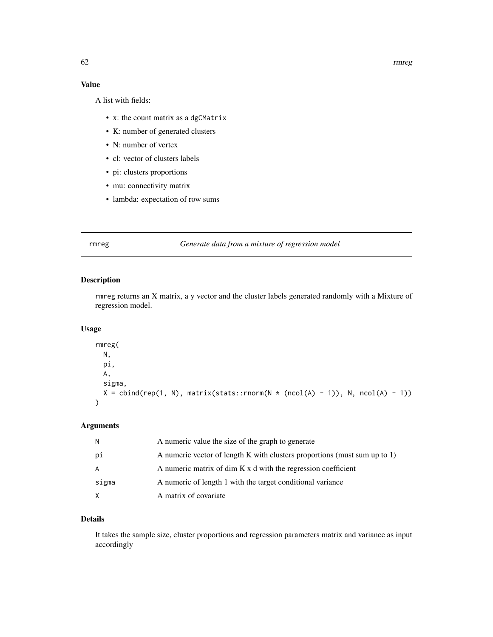62 rmreg

### Value

A list with fields:

- x: the count matrix as a dgCMatrix
- K: number of generated clusters
- N: number of vertex
- cl: vector of clusters labels
- pi: clusters proportions
- mu: connectivity matrix
- lambda: expectation of row sums

#### rmreg *Generate data from a mixture of regression model*

#### Description

rmreg returns an X matrix, a y vector and the cluster labels generated randomly with a Mixture of regression model.

#### Usage

```
rmreg(
  N,
  pi,
  A,
   sigma,
  X = \text{cbind}(\text{rep}(1, N), \text{ matrix}(\text{stats::rnorm}(N * (\text{ncol}(A) - 1)), N, \text{ncol}(A) - 1))\mathcal{L}
```
### Arguments

| N.    | A numeric value the size of the graph to generate                         |
|-------|---------------------------------------------------------------------------|
| рi    | A numeric vector of length K with clusters proportions (must sum up to 1) |
| A     | A numeric matrix of dim K x d with the regression coefficient             |
| sigma | A numeric of length 1 with the target conditional variance                |
| X     | A matrix of covariate                                                     |

### Details

It takes the sample size, cluster proportions and regression parameters matrix and variance as input accordingly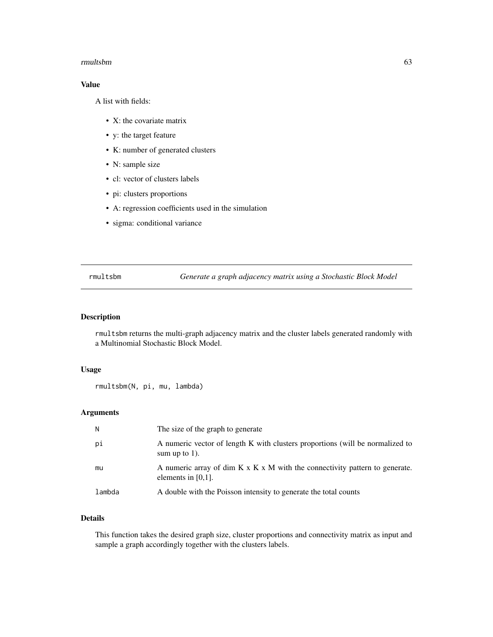#### rmultsbm 63

### Value

A list with fields:

- X: the covariate matrix
- y: the target feature
- K: number of generated clusters
- N: sample size
- cl: vector of clusters labels
- pi: clusters proportions
- A: regression coefficients used in the simulation
- sigma: conditional variance

rmultsbm *Generate a graph adjacency matrix using a Stochastic Block Model*

### Description

rmultsbm returns the multi-graph adjacency matrix and the cluster labels generated randomly with a Multinomial Stochastic Block Model.

#### Usage

rmultsbm(N, pi, mu, lambda)

#### Arguments

| N      | The size of the graph to generate                                                                                |
|--------|------------------------------------------------------------------------------------------------------------------|
| pi     | A numeric vector of length K with clusters proportions (will be normalized to<br>sum up to $1$ ).                |
| mu     | A numeric array of dim $K \times K \times M$ with the connectivity pattern to generate.<br>elements in $[0,1]$ . |
| lambda | A double with the Poisson intensity to generate the total counts                                                 |

### Details

This function takes the desired graph size, cluster proportions and connectivity matrix as input and sample a graph accordingly together with the clusters labels.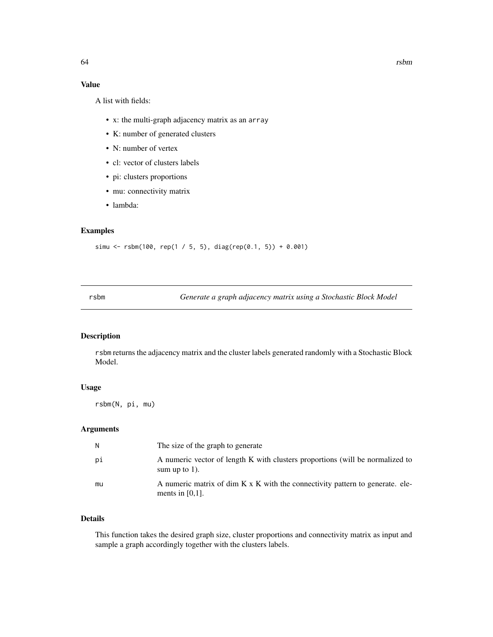### Value

A list with fields:

- x: the multi-graph adjacency matrix as an array
- K: number of generated clusters
- N: number of vertex
- cl: vector of clusters labels
- pi: clusters proportions
- mu: connectivity matrix
- lambda:

### Examples

simu <- rsbm(100, rep(1 / 5, 5), diag(rep(0.1, 5)) + 0.001)

rsbm *Generate a graph adjacency matrix using a Stochastic Block Model*

### Description

rsbm returns the adjacency matrix and the cluster labels generated randomly with a Stochastic Block Model.

#### Usage

rsbm(N, pi, mu)

### Arguments

| N  | The size of the graph to generate                                                                   |
|----|-----------------------------------------------------------------------------------------------------|
| рi | A numeric vector of length K with clusters proportions (will be normalized to<br>sum up to $1$ ).   |
| mu | A numeric matrix of dim K x K with the connectivity pattern to generate. ele-<br>ments in $[0,1]$ . |

### Details

This function takes the desired graph size, cluster proportions and connectivity matrix as input and sample a graph accordingly together with the clusters labels.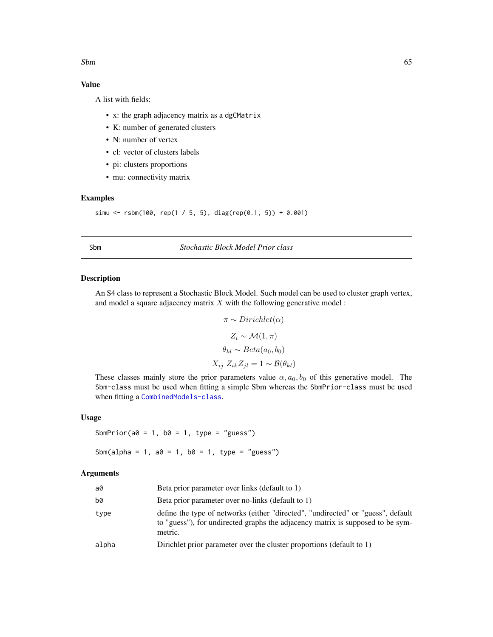#### <span id="page-64-2"></span> $S$ bm 65

### Value

A list with fields:

- x: the graph adjacency matrix as a dgCMatrix
- K: number of generated clusters
- N: number of vertex
- cl: vector of clusters labels
- pi: clusters proportions
- mu: connectivity matrix

### Examples

```
simu <- rsbm(100, rep(1 / 5, 5), diag(rep(0.1, 5)) + 0.001)
```
#### <span id="page-64-0"></span>Sbm *Stochastic Block Model Prior class*

### <span id="page-64-1"></span>Description

An S4 class to represent a Stochastic Block Model. Such model can be used to cluster graph vertex, and model a square adjacency matrix  $X$  with the following generative model :

$$
\pi \sim Dirichlet(\alpha)
$$

$$
Z_i \sim \mathcal{M}(1, \pi)
$$

$$
\theta_{kl} \sim Beta(a_0, b_0)
$$

$$
X_{ij}|Z_{ik}Z_{jl} = 1 \sim \mathcal{B}(\theta_{kl})
$$

These classes mainly store the prior parameters value  $\alpha$ ,  $a_0$ ,  $b_0$  of this generative model. The Sbm-class must be used when fitting a simple Sbm whereas the SbmPrior-class must be used when fitting a [CombinedModels-class](#page-11-0).

#### Usage

SbmPrior( $a0 = 1$ ,  $b0 = 1$ , type = "guess")

Sbm(alpha = 1, a0 = 1, b0 = 1, type = "guess")

### Arguments

| a0    | Beta prior parameter over links (default to 1)                                                                                                                                |
|-------|-------------------------------------------------------------------------------------------------------------------------------------------------------------------------------|
| b0    | Beta prior parameter over no-links (default to 1)                                                                                                                             |
| type  | define the type of networks (either "directed", "undirected" or "guess", default<br>to "guess"), for undirected graphs the adjacency matrix is supposed to be sym-<br>metric. |
| alpha | Dirichlet prior parameter over the cluster proportions (default to 1)                                                                                                         |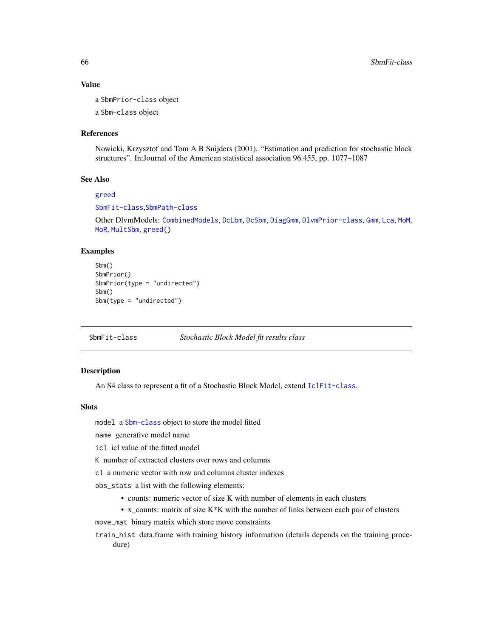#### Value

a SbmPrior-class object a Sbm-class object

#### References

Nowicki, Krzysztof and Tom A B Snijders (2001). "Estimation and prediction for stochastic block structures". In:Journal of the American statistical association 96.455, pp. 1077–1087

#### See Also

#### [greed](#page-31-0)

[SbmFit-class](#page-65-0),[SbmPath-class](#page-66-0)

Other DlvmModels: [CombinedModels](#page-11-1), [DcLbm](#page-14-0), [DcSbm](#page-17-0), [DiagGmm](#page-21-0), [DlvmPrior-class](#page-24-0), [Gmm](#page-28-0), [Lca](#page-36-1), [MoM](#page-39-0), [MoR](#page-42-0), [MultSbm](#page-45-0), [greed\(](#page-31-0))

#### Examples

```
Sbm()
SbmPrior()
SbmPrior(type = "undirected")
Sbm()
Sbm(type = "undirected")
```
<span id="page-65-0"></span>SbmFit-class *Stochastic Block Model fit results class*

### **Description**

An S4 class to represent a fit of a Stochastic Block Model, extend [IclFit-class](#page-34-0).

#### Slots

model a [Sbm-class](#page-64-1) object to store the model fitted

name generative model name

icl icl value of the fitted model

K number of extracted clusters over rows and columns

cl a numeric vector with row and columns cluster indexes

obs\_stats a list with the following elements:

- counts: numeric vector of size K with number of elements in each clusters
- x\_counts: matrix of size K\*K with the number of links between each pair of clusters

move\_mat binary matrix which store move constraints

train\_hist data.frame with training history information (details depends on the training procedure)

<span id="page-65-1"></span>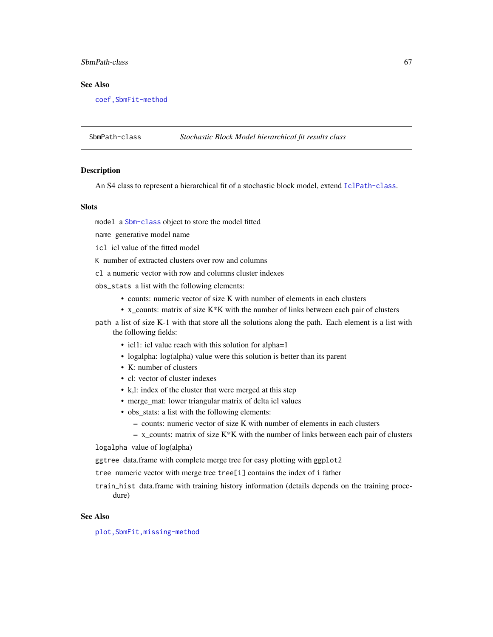### SbmPath-class 67

### See Also

[coef,SbmFit-method](#page-0-0)

<span id="page-66-0"></span>SbmPath-class *Stochastic Block Model hierarchical fit results class*

#### Description

An S4 class to represent a hierarchical fit of a stochastic block model, extend [IclPath-class](#page-35-0).

#### **Slots**

model a [Sbm-class](#page-64-1) object to store the model fitted

name generative model name

icl icl value of the fitted model

K number of extracted clusters over row and columns

cl a numeric vector with row and columns cluster indexes

obs\_stats a list with the following elements:

- counts: numeric vector of size K with number of elements in each clusters
- x\_counts: matrix of size K\*K with the number of links between each pair of clusters
- path a list of size K-1 with that store all the solutions along the path. Each element is a list with the following fields:
	- icl1: icl value reach with this solution for alpha=1
	- logalpha: log(alpha) value were this solution is better than its parent
	- K: number of clusters
	- cl: vector of cluster indexes
	- k,l: index of the cluster that were merged at this step
	- merge\_mat: lower triangular matrix of delta icl values
	- obs\_stats: a list with the following elements:
		- counts: numeric vector of size K with number of elements in each clusters
		- $x$  counts: matrix of size K<sup>\*</sup>K with the number of links between each pair of clusters

logalpha value of log(alpha)

ggtree data.frame with complete merge tree for easy plotting with ggplot2

tree numeric vector with merge tree tree[i] contains the index of i father

train\_hist data.frame with training history information (details depends on the training procedure)

### See Also

[plot,SbmFit,missing-method](#page-0-0)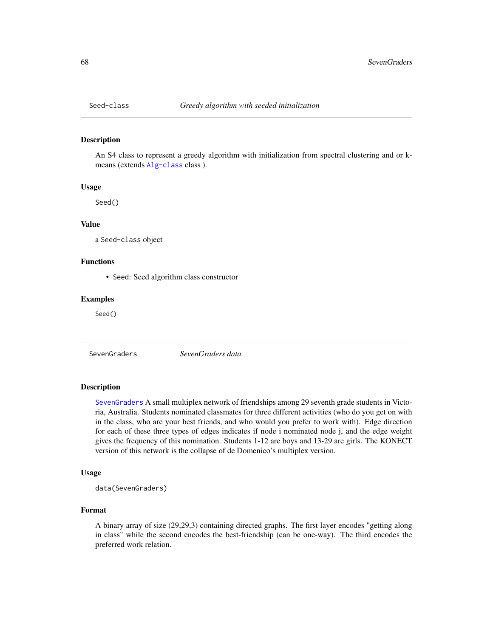<span id="page-67-1"></span>

#### Description

An S4 class to represent a greedy algorithm with initialization from spectral clustering and or kmeans (extends [Alg-class](#page-3-0) class ).

#### Usage

Seed()

#### Value

a Seed-class object

### Functions

• Seed: Seed algorithm class constructor

#### Examples

Seed()

<span id="page-67-0"></span>SevenGraders *SevenGraders data*

#### Description

[SevenGraders](#page-67-0) A small multiplex network of friendships among 29 seventh grade students in Victoria, Australia. Students nominated classmates for three different activities (who do you get on with in the class, who are your best friends, and who would you prefer to work with). Edge direction for each of these three types of edges indicates if node i nominated node j, and the edge weight gives the frequency of this nomination. Students 1-12 are boys and 13-29 are girls. The KONECT version of this network is the collapse of de Domenico's multiplex version.

#### Usage

data(SevenGraders)

#### Format

A binary array of size (29,29,3) containing directed graphs. The first layer encodes "getting along in class" while the second encodes the best-friendship (can be one-way). The third encodes the preferred work relation.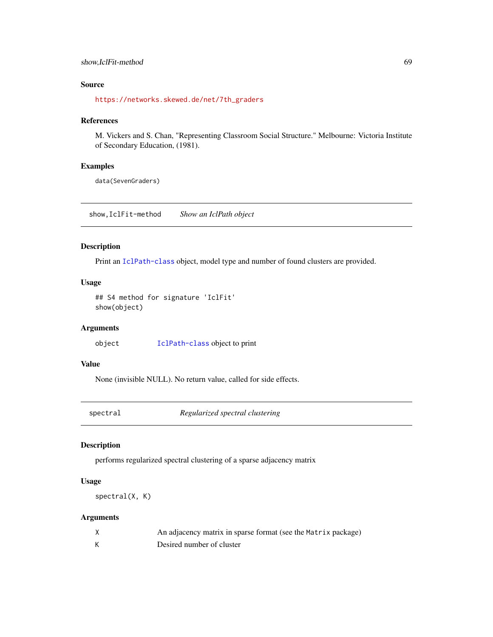#### show,IclFit-method 69

### Source

[https://networks.skewed.de/net/7th\\_graders](https://networks.skewed.de/net/7th_graders)

#### References

M. Vickers and S. Chan, "Representing Classroom Social Structure." Melbourne: Victoria Institute of Secondary Education, (1981).

### Examples

data(SevenGraders)

show,IclFit-method *Show an IclPath object*

#### Description

Print an [IclPath-class](#page-35-0) object, model type and number of found clusters are provided.

### Usage

```
## S4 method for signature 'IclFit'
show(object)
```
### Arguments

object [IclPath-class](#page-35-0) object to print

### Value

None (invisible NULL). No return value, called for side effects.

spectral *Regularized spectral clustering*

### Description

performs regularized spectral clustering of a sparse adjacency matrix

#### Usage

```
spectral(X, K)
```
### Arguments

| An adjacency matrix in sparse format (see the Matrix package) |
|---------------------------------------------------------------|
| Desired number of cluster                                     |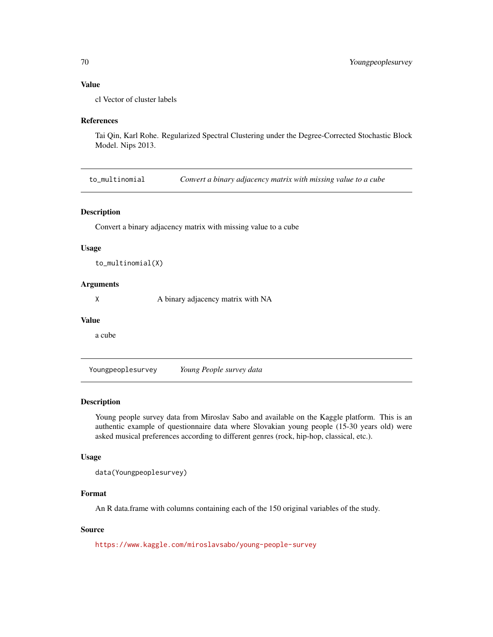### <span id="page-69-0"></span>Value

cl Vector of cluster labels

#### References

Tai Qin, Karl Rohe. Regularized Spectral Clustering under the Degree-Corrected Stochastic Block Model. Nips 2013.

to\_multinomial *Convert a binary adjacency matrix with missing value to a cube*

### Description

Convert a binary adjacency matrix with missing value to a cube

#### Usage

to\_multinomial(X)

#### **Arguments**

X A binary adjacency matrix with NA

#### Value

a cube

Youngpeoplesurvey *Young People survey data*

#### Description

Young people survey data from Miroslav Sabo and available on the Kaggle platform. This is an authentic example of questionnaire data where Slovakian young people (15-30 years old) were asked musical preferences according to different genres (rock, hip-hop, classical, etc.).

#### Usage

data(Youngpeoplesurvey)

### Format

An R data.frame with columns containing each of the 150 original variables of the study.

#### Source

<https://www.kaggle.com/miroslavsabo/young-people-survey>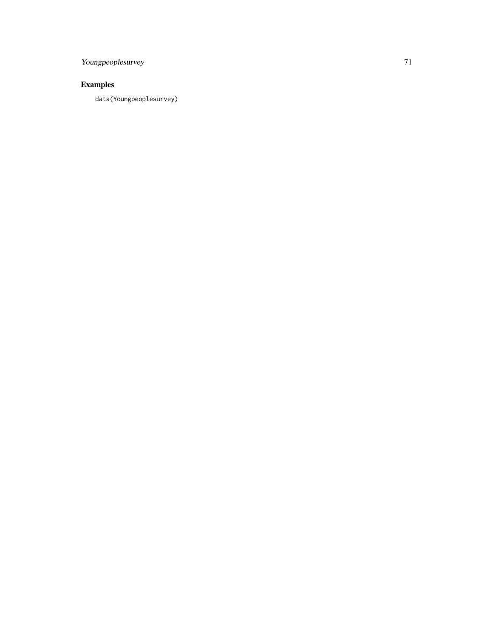Youngpeoplesurvey 71

## Examples

data(Youngpeoplesurvey)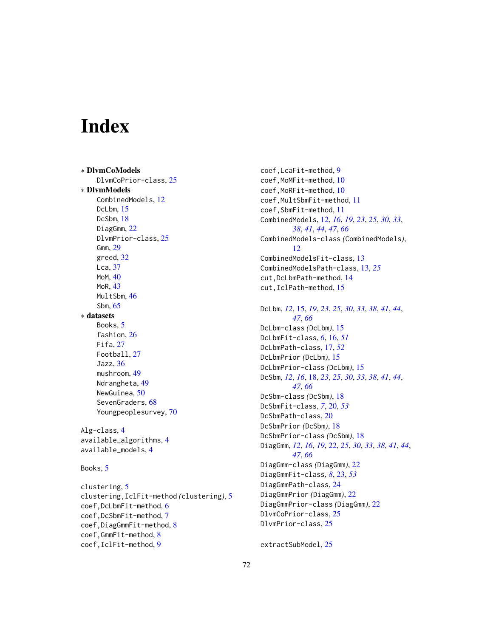# Index

∗ DlvmCoModels DlvmCoPrior-class, [25](#page-24-1) ∗ DlvmModels CombinedModels, [12](#page-11-2) DcLbm, [15](#page-14-1) DcSbm, [18](#page-17-1) DiagGmm, [22](#page-21-1) DlvmPrior-class, [25](#page-24-1) Gmm, [29](#page-28-1) greed, [32](#page-31-1) Lca, [37](#page-36-2) MoM, [40](#page-39-2) MoR, [43](#page-42-2) MultSbm, [46](#page-45-2) Sbm, [65](#page-64-2) ∗ datasets Books, [5](#page-4-0) fashion, [26](#page-25-0) Fifa, [27](#page-26-0) Football, [27](#page-26-0) Jazz, [36](#page-35-1) mushroom, [49](#page-48-0) Ndrangheta, [49](#page-48-0) NewGuinea, [50](#page-49-1) SevenGraders, [68](#page-67-1) Youngpeoplesurvey, [70](#page-69-0) Alg-class, [4](#page-3-1)

available\_algorithms, [4](#page-3-1) available\_models, [4](#page-3-1)

Books, [5](#page-4-0)

clustering, [5](#page-4-0) clustering,IclFit-method *(*clustering*)*, [5](#page-4-0) coef,DcLbmFit-method, [6](#page-5-0) coef,DcSbmFit-method, [7](#page-6-0) coef,DiagGmmFit-method, [8](#page-7-0) coef,GmmFit-method, [8](#page-7-0) coef,IclFit-method, [9](#page-8-0)

coef,LcaFit-method, [9](#page-8-0) coef,MoMFit-method, [10](#page-9-0) coef,MoRFit-method, [10](#page-9-0) coef,MultSbmFit-method, [11](#page-10-0) coef,SbmFit-method, [11](#page-10-0) CombinedModels, [12,](#page-11-2) *[16](#page-15-1)*, *[19](#page-18-0)*, *[23](#page-22-1)*, *[25](#page-24-1)*, *[30](#page-29-1)*, *[33](#page-32-0)*, *[38](#page-37-1)*, *[41](#page-40-1)*, *[44](#page-43-1)*, *[47](#page-46-1)*, *[66](#page-65-1)* CombinedModels-class *(*CombinedModels*)*, [12](#page-11-2) CombinedModelsFit-class, [13](#page-12-0) CombinedModelsPath-class, [13,](#page-12-0) *[25](#page-24-1)* cut,DcLbmPath-method, [14](#page-13-0) cut,IclPath-method, [15](#page-14-1) DcLbm, *[12](#page-11-2)*, [15,](#page-14-1) *[19](#page-18-0)*, *[23](#page-22-1)*, *[25](#page-24-1)*, *[30](#page-29-1)*, *[33](#page-32-0)*, *[38](#page-37-1)*, *[41](#page-40-1)*, *[44](#page-43-1)*, *[47](#page-46-1)*, *[66](#page-65-1)* DcLbm-class *(*DcLbm*)*, [15](#page-14-1) DcLbmFit-class, *[6](#page-5-0)*, [16,](#page-15-1) *[51](#page-50-0)* DcLbmPath-class, [17,](#page-16-1) *[52](#page-51-0)* DcLbmPrior *(*DcLbm*)*, [15](#page-14-1) DcLbmPrior-class *(*DcLbm*)*, [15](#page-14-1) DcSbm, *[12](#page-11-2)*, *[16](#page-15-1)*, [18,](#page-17-1) *[23](#page-22-1)*, *[25](#page-24-1)*, *[30](#page-29-1)*, *[33](#page-32-0)*, *[38](#page-37-1)*, *[41](#page-40-1)*, *[44](#page-43-1)*, *[47](#page-46-1)*, *[66](#page-65-1)* DcSbm-class *(*DcSbm*)*, [18](#page-17-1) DcSbmFit-class, *[7](#page-6-0)*, [20,](#page-19-1) *[53](#page-52-0)* DcSbmPath-class, [20](#page-19-1) DcSbmPrior *(*DcSbm*)*, [18](#page-17-1) DcSbmPrior-class *(*DcSbm*)*, [18](#page-17-1) DiagGmm, *[12](#page-11-2)*, *[16](#page-15-1)*, *[19](#page-18-0)*, [22,](#page-21-1) *[25](#page-24-1)*, *[30](#page-29-1)*, *[33](#page-32-0)*, *[38](#page-37-1)*, *[41](#page-40-1)*, *[44](#page-43-1)*, *[47](#page-46-1)*, *[66](#page-65-1)* DiagGmm-class *(*DiagGmm*)*, [22](#page-21-1) DiagGmmFit-class, *[8](#page-7-0)*, [23,](#page-22-1) *[53](#page-52-0)* DiagGmmPath-class, [24](#page-23-0) DiagGmmPrior *(*DiagGmm*)*, [22](#page-21-1) DiagGmmPrior-class *(*DiagGmm*)*, [22](#page-21-1) DlvmCoPrior-class, [25](#page-24-1) DlvmPrior-class, [25](#page-24-1)

extractSubModel, [25](#page-24-1)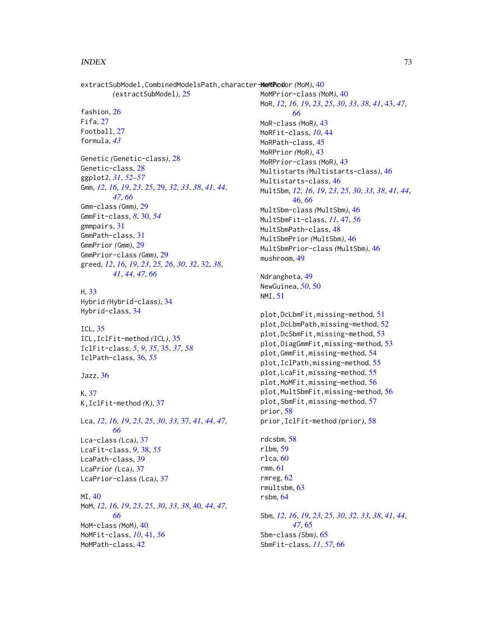extractSubModel, CombinedModelsPath, character-**MeMTAod**or (MoM), [40](#page-39-0)

```
(extractSubModel), 25
```
fashion, [26](#page-25-0) Fifa, [27](#page-26-0) Football, [27](#page-26-0) formula, *[43](#page-42-0)* Genetic *(*Genetic-class*)*, [28](#page-27-0) Genetic-class, [28](#page-27-0) ggplot2, *[31](#page-30-0)*, *[52](#page-51-0)[–57](#page-56-0)* Gmm, *[12](#page-11-0)*, *[16](#page-15-0)*, *[19](#page-18-0)*, *[23](#page-22-0)*, *[25](#page-24-0)*, [29,](#page-28-0) *[32,](#page-31-0) [33](#page-32-0)*, *[38](#page-37-0)*, *[41](#page-40-0)*, *[44](#page-43-0)*, *[47](#page-46-0)*, *[66](#page-65-0)* Gmm-class *(*Gmm*)*, [29](#page-28-0) GmmFit-class, *[8](#page-7-0)*, [30,](#page-29-0) *[54](#page-53-0)* gmmpairs, [31](#page-30-0) GmmPath-class, [31](#page-30-0) GmmPrior *(*Gmm*)*, [29](#page-28-0) GmmPrior-class *(*Gmm*)*, [29](#page-28-0) greed, *[12](#page-11-0)*, *[16](#page-15-0)*, *[19](#page-18-0)*, *[23](#page-22-0)*, *[25,](#page-24-0) [26](#page-25-0)*, *[30](#page-29-0)*, *[32](#page-31-0)*, [32,](#page-31-0) *[38](#page-37-0)*, *[41](#page-40-0)*, *[44](#page-43-0)*, *[47](#page-46-0)*, *[66](#page-65-0)*

## H, [33](#page-32-0)

Hybrid *(*Hybrid-class*)*, [34](#page-33-0) Hybrid-class, [34](#page-33-0)

ICL, [35](#page-34-0) ICL,IclFit-method *(*ICL*)*, [35](#page-34-0) IclFit-class, *[5](#page-4-0)*, *[9](#page-8-0)*, *[35](#page-34-0)*, [35,](#page-34-0) *[37](#page-36-0)*, *[58](#page-57-0)* IclPath-class, [36,](#page-35-0) *[55](#page-54-0)*

Jazz, [36](#page-35-0)

K, [37](#page-36-0) K,IclFit-method *(*K*)*, [37](#page-36-0)

Lca, *[12](#page-11-0)*, *[16](#page-15-0)*, *[19](#page-18-0)*, *[23](#page-22-0)*, *[25](#page-24-0)*, *[30](#page-29-0)*, *[33](#page-32-0)*, [37,](#page-36-0) *[41](#page-40-0)*, *[44](#page-43-0)*, *[47](#page-46-0)*, *[66](#page-65-0)* Lca-class *(*Lca*)*, [37](#page-36-0) LcaFit-class, *[9](#page-8-0)*, [38,](#page-37-0) *[55](#page-54-0)* LcaPath-class, [39](#page-38-0) LcaPrior *(*Lca*)*, [37](#page-36-0) LcaPrior-class *(*Lca*)*, [37](#page-36-0)

MI, [40](#page-39-0) MoM, *[12](#page-11-0)*, *[16](#page-15-0)*, *[19](#page-18-0)*, *[23](#page-22-0)*, *[25](#page-24-0)*, *[30](#page-29-0)*, *[33](#page-32-0)*, *[38](#page-37-0)*, [40,](#page-39-0) *[44](#page-43-0)*, *[47](#page-46-0)*, *[66](#page-65-0)* MoM-class *(*MoM*)*, [40](#page-39-0) MoMFit-class, *[10](#page-9-0)*, [41,](#page-40-0) *[56](#page-55-0)* MoMPath-class, [42](#page-41-0)

MoMPrior-class *(*MoM*)*, [40](#page-39-0) MoR, *[12](#page-11-0)*, *[16](#page-15-0)*, *[19](#page-18-0)*, *[23](#page-22-0)*, *[25](#page-24-0)*, *[30](#page-29-0)*, *[33](#page-32-0)*, *[38](#page-37-0)*, *[41](#page-40-0)*, [43,](#page-42-0) *[47](#page-46-0)*, *[66](#page-65-0)* MoR-class *(*MoR*)*, [43](#page-42-0) MoRFit-class, *[10](#page-9-0)*, [44](#page-43-0) MoRPath-class, [45](#page-44-0) MoRPrior *(*MoR*)*, [43](#page-42-0) MoRPrior-class *(*MoR*)*, [43](#page-42-0) Multistarts *(*Multistarts-class*)*, [46](#page-45-0) Multistarts-class, [46](#page-45-0) MultSbm, *[12](#page-11-0)*, *[16](#page-15-0)*, *[19](#page-18-0)*, *[23](#page-22-0)*, *[25](#page-24-0)*, *[30](#page-29-0)*, *[33](#page-32-0)*, *[38](#page-37-0)*, *[41](#page-40-0)*, *[44](#page-43-0)*, [46,](#page-45-0) *[66](#page-65-0)* MultSbm-class *(*MultSbm*)*, [46](#page-45-0) MultSbmFit-class, *[11](#page-10-0)*, [47,](#page-46-0) *[56](#page-55-0)* MultSbmPath-class, [48](#page-47-0) MultSbmPrior *(*MultSbm*)*, [46](#page-45-0) MultSbmPrior-class *(*MultSbm*)*, [46](#page-45-0) mushroom, [49](#page-48-0)

Ndrangheta, [49](#page-48-0) NewGuinea, *[50](#page-49-0)*, [50](#page-49-0) NMI, [51](#page-50-0)

```
plot,DcLbmFit,missing-method, 51
plot,DcLbmPath,missing-method, 52
plot,DcSbmFit,missing-method, 53
plot,DiagGmmFit,missing-method, 53
plot,GmmFit,missing-method, 54
plot,IclPath,missing-method, 55
plot,LcaFit,missing-method, 55
plot,MoMFit,missing-method, 56
plot,MultSbmFit,missing-method, 56
plot,SbmFit,missing-method, 57
prior, 58
prior,IclFit-method (prior), 58
```
rdcsbm, [58](#page-57-0) rlbm, [59](#page-58-0) rlca, [60](#page-59-0) rmm, [61](#page-60-0) rmreg, [62](#page-61-0) rmultsbm, [63](#page-62-0) rsbm, [64](#page-63-0)

Sbm, *[12](#page-11-0)*, *[16](#page-15-0)*, *[19](#page-18-0)*, *[23](#page-22-0)*, *[25](#page-24-0)*, *[30](#page-29-0)*, *[32,](#page-31-0) [33](#page-32-0)*, *[38](#page-37-0)*, *[41](#page-40-0)*, *[44](#page-43-0)*, *[47](#page-46-0)*, [65](#page-64-0) Sbm-class *(*Sbm*)*, [65](#page-64-0) SbmFit-class, *[11](#page-10-0)*, *[57](#page-56-0)*, [66](#page-65-0)